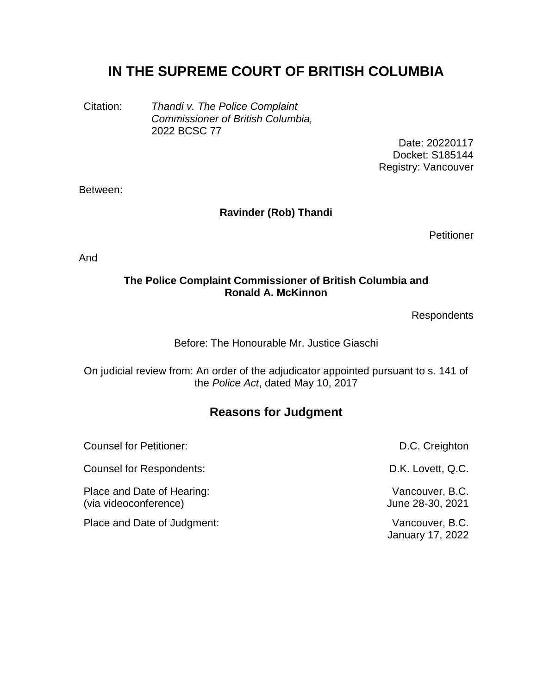# **IN THE SUPREME COURT OF BRITISH COLUMBIA**

Citation: *Thandi v. The Police Complaint Commissioner of British Columbia,* 2022 BCSC 77

Date: 20220117 Docket: S185144 Registry: Vancouver

Between:

## **Ravinder (Rob) Thandi**

**Petitioner** 

And

#### **The Police Complaint Commissioner of British Columbia and Ronald A. McKinnon**

**Respondents** 

## Before: The Honourable Mr. Justice Giaschi

On judicial review from: An order of the adjudicator appointed pursuant to s. 141 of the *Police Act*, dated May 10, 2017

# **Reasons for Judgment**

| <b>Counsel for Petitioner:</b>                      | D.C. Creighton                             |
|-----------------------------------------------------|--------------------------------------------|
| Counsel for Respondents:                            | D.K. Lovett, Q.C.                          |
| Place and Date of Hearing:<br>(via videoconference) | Vancouver, B.C.<br>June 28-30, 2021        |
| Place and Date of Judgment:                         | Vancouver, B.C.<br><b>January 17, 2022</b> |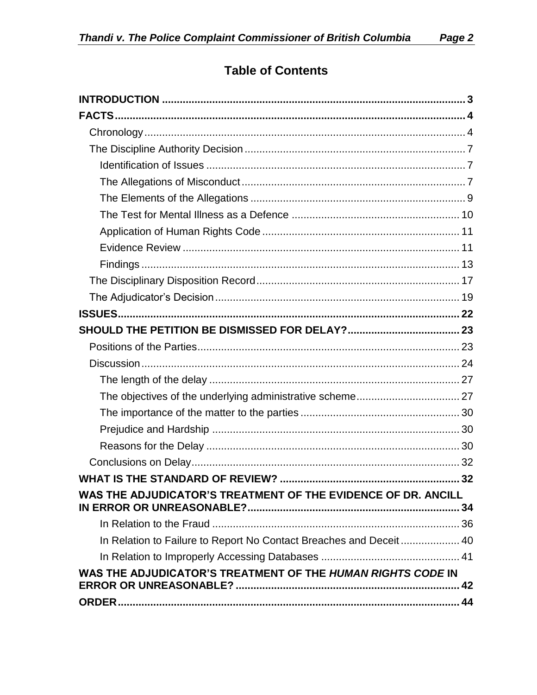# **Table of Contents**

| WAS THE ADJUDICATOR'S TREATMENT OF THE EVIDENCE OF DR. ANCILL       |  |
|---------------------------------------------------------------------|--|
|                                                                     |  |
| In Relation to Failure to Report No Contact Breaches and Deceit  40 |  |
|                                                                     |  |
| WAS THE ADJUDICATOR'S TREATMENT OF THE HUMAN RIGHTS CODE IN         |  |
|                                                                     |  |
|                                                                     |  |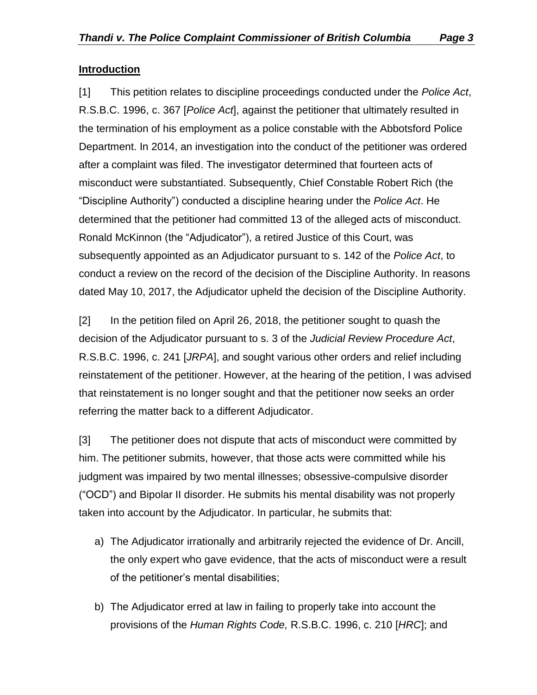#### <span id="page-2-0"></span>**Introduction**

[1] This petition relates to discipline proceedings conducted under the *Police Act*, R.S.B.C. 1996, c. 367 [*Police Act*], against the petitioner that ultimately resulted in the termination of his employment as a police constable with the Abbotsford Police Department. In 2014, an investigation into the conduct of the petitioner was ordered after a complaint was filed. The investigator determined that fourteen acts of misconduct were substantiated. Subsequently, Chief Constable Robert Rich (the "Discipline Authority") conducted a discipline hearing under the *Police Act*. He determined that the petitioner had committed 13 of the alleged acts of misconduct. Ronald McKinnon (the "Adjudicator"), a retired Justice of this Court, was subsequently appointed as an Adjudicator pursuant to s. 142 of the *Police Act*, to conduct a review on the record of the decision of the Discipline Authority. In reasons dated May 10, 2017, the Adjudicator upheld the decision of the Discipline Authority.

[2] In the petition filed on April 26, 2018, the petitioner sought to quash the decision of the Adjudicator pursuant to s. 3 of the *Judicial Review Procedure Act*, R.S.B.C. 1996, c. 241 [*JRPA*], and sought various other orders and relief including reinstatement of the petitioner. However, at the hearing of the petition, I was advised that reinstatement is no longer sought and that the petitioner now seeks an order referring the matter back to a different Adjudicator.

[3] The petitioner does not dispute that acts of misconduct were committed by him. The petitioner submits, however, that those acts were committed while his judgment was impaired by two mental illnesses; obsessive-compulsive disorder ("OCD") and Bipolar II disorder. He submits his mental disability was not properly taken into account by the Adjudicator. In particular, he submits that:

- a) The Adjudicator irrationally and arbitrarily rejected the evidence of Dr. Ancill, the only expert who gave evidence, that the acts of misconduct were a result of the petitioner's mental disabilities;
- b) The Adjudicator erred at law in failing to properly take into account the provisions of the *Human Rights Code,* R.S.B.C. 1996, c. 210 [*HRC*]; and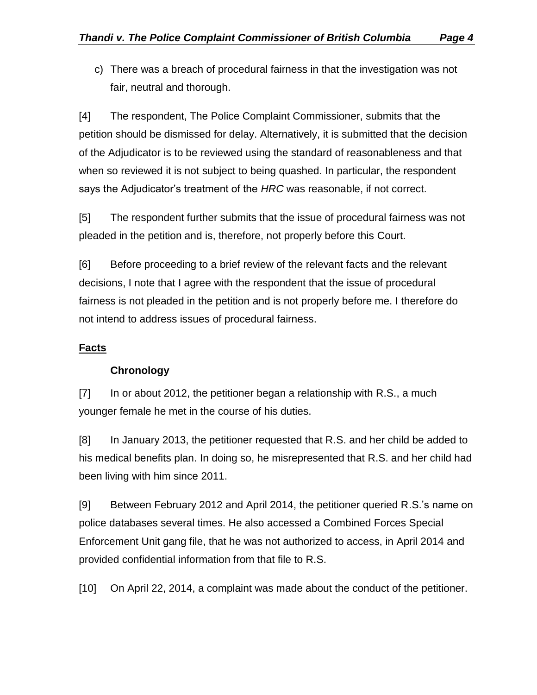c) There was a breach of procedural fairness in that the investigation was not fair, neutral and thorough.

[4] The respondent, The Police Complaint Commissioner, submits that the petition should be dismissed for delay. Alternatively, it is submitted that the decision of the Adjudicator is to be reviewed using the standard of reasonableness and that when so reviewed it is not subject to being quashed. In particular, the respondent says the Adjudicator's treatment of the *HRC* was reasonable, if not correct.

[5] The respondent further submits that the issue of procedural fairness was not pleaded in the petition and is, therefore, not properly before this Court.

[6] Before proceeding to a brief review of the relevant facts and the relevant decisions, I note that I agree with the respondent that the issue of procedural fairness is not pleaded in the petition and is not properly before me. I therefore do not intend to address issues of procedural fairness.

# <span id="page-3-1"></span><span id="page-3-0"></span>**Facts**

## **Chronology**

[7] In or about 2012, the petitioner began a relationship with R.S., a much younger female he met in the course of his duties.

[8] In January 2013, the petitioner requested that R.S. and her child be added to his medical benefits plan. In doing so, he misrepresented that R.S. and her child had been living with him since 2011.

[9] Between February 2012 and April 2014, the petitioner queried R.S.'s name on police databases several times. He also accessed a Combined Forces Special Enforcement Unit gang file, that he was not authorized to access, in April 2014 and provided confidential information from that file to R.S.

[10] On April 22, 2014, a complaint was made about the conduct of the petitioner.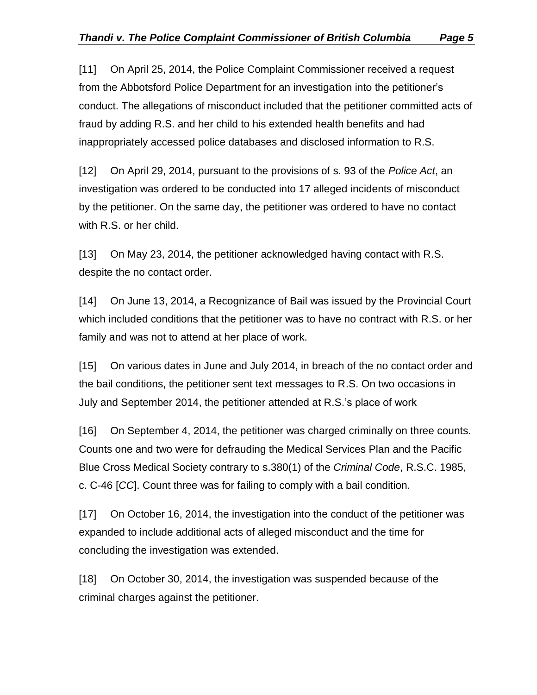[11] On April 25, 2014, the Police Complaint Commissioner received a request from the Abbotsford Police Department for an investigation into the petitioner's conduct. The allegations of misconduct included that the petitioner committed acts of fraud by adding R.S. and her child to his extended health benefits and had inappropriately accessed police databases and disclosed information to R.S.

[12] On April 29, 2014, pursuant to the provisions of s. 93 of the *Police Act*, an investigation was ordered to be conducted into 17 alleged incidents of misconduct by the petitioner. On the same day, the petitioner was ordered to have no contact with R.S. or her child.

[13] On May 23, 2014, the petitioner acknowledged having contact with R.S. despite the no contact order.

[14] On June 13, 2014, a Recognizance of Bail was issued by the Provincial Court which included conditions that the petitioner was to have no contract with R.S. or her family and was not to attend at her place of work.

[15] On various dates in June and July 2014, in breach of the no contact order and the bail conditions, the petitioner sent text messages to R.S. On two occasions in July and September 2014, the petitioner attended at R.S.'s place of work

[16] On September 4, 2014, the petitioner was charged criminally on three counts. Counts one and two were for defrauding the Medical Services Plan and the Pacific Blue Cross Medical Society contrary to s.380(1) of the *Criminal Code*, R.S.C. 1985, c. C-46 [*CC*]. Count three was for failing to comply with a bail condition.

[17] On October 16, 2014, the investigation into the conduct of the petitioner was expanded to include additional acts of alleged misconduct and the time for concluding the investigation was extended.

[18] On October 30, 2014, the investigation was suspended because of the criminal charges against the petitioner.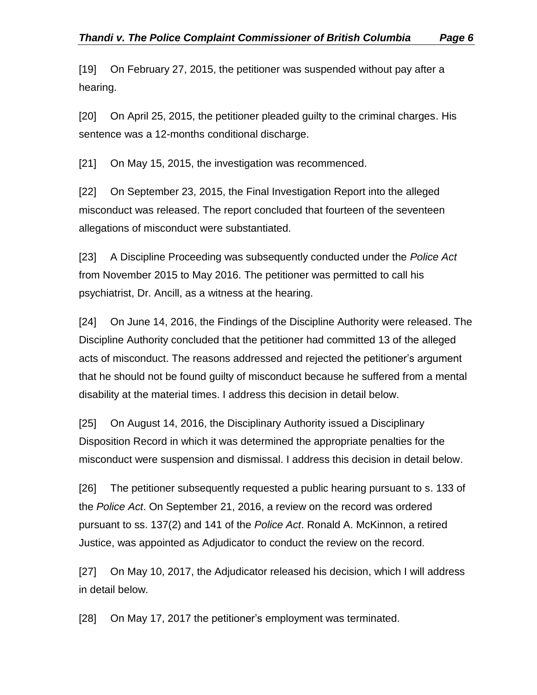[19] On February 27, 2015, the petitioner was suspended without pay after a hearing.

[20] On April 25, 2015, the petitioner pleaded guilty to the criminal charges. His sentence was a 12-months conditional discharge.

[21] On May 15, 2015, the investigation was recommenced.

[22] On September 23, 2015, the Final Investigation Report into the alleged misconduct was released. The report concluded that fourteen of the seventeen allegations of misconduct were substantiated.

[23] A Discipline Proceeding was subsequently conducted under the *Police Act* from November 2015 to May 2016. The petitioner was permitted to call his psychiatrist, Dr. Ancill, as a witness at the hearing.

[24] On June 14, 2016, the Findings of the Discipline Authority were released. The Discipline Authority concluded that the petitioner had committed 13 of the alleged acts of misconduct. The reasons addressed and rejected the petitioner's argument that he should not be found guilty of misconduct because he suffered from a mental disability at the material times. I address this decision in detail below.

[25] On August 14, 2016, the Disciplinary Authority issued a Disciplinary Disposition Record in which it was determined the appropriate penalties for the misconduct were suspension and dismissal. I address this decision in detail below.

[26] The petitioner subsequently requested a public hearing pursuant to s. 133 of the *Police Act*. On September 21, 2016, a review on the record was ordered pursuant to ss. 137(2) and 141 of the *Police Act*. Ronald A. McKinnon, a retired Justice, was appointed as Adjudicator to conduct the review on the record.

[27] On May 10, 2017, the Adjudicator released his decision, which I will address in detail below.

[28] On May 17, 2017 the petitioner's employment was terminated.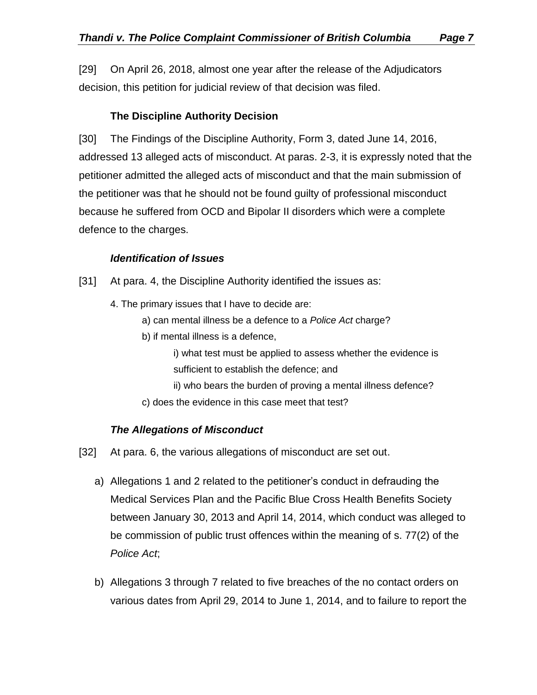[29] On April 26, 2018, almost one year after the release of the Adjudicators decision, this petition for judicial review of that decision was filed.

#### **The Discipline Authority Decision**

<span id="page-6-0"></span>[30] The Findings of the Discipline Authority, Form 3, dated June 14, 2016, addressed 13 alleged acts of misconduct. At paras. 2-3, it is expressly noted that the petitioner admitted the alleged acts of misconduct and that the main submission of the petitioner was that he should not be found guilty of professional misconduct because he suffered from OCD and Bipolar II disorders which were a complete defence to the charges.

#### *Identification of Issues*

- <span id="page-6-1"></span>[31] At para. 4, the Discipline Authority identified the issues as:
	- 4. The primary issues that I have to decide are:
		- a) can mental illness be a defence to a *Police Act* charge?
		- b) if mental illness is a defence,

i) what test must be applied to assess whether the evidence is sufficient to establish the defence; and

ii) who bears the burden of proving a mental illness defence? c) does the evidence in this case meet that test?

#### *The Allegations of Misconduct*

- <span id="page-6-2"></span>[32] At para. 6, the various allegations of misconduct are set out.
	- a) Allegations 1 and 2 related to the petitioner's conduct in defrauding the Medical Services Plan and the Pacific Blue Cross Health Benefits Society between January 30, 2013 and April 14, 2014, which conduct was alleged to be commission of public trust offences within the meaning of s. 77(2) of the *Police Act*;
	- b) Allegations 3 through 7 related to five breaches of the no contact orders on various dates from April 29, 2014 to June 1, 2014, and to failure to report the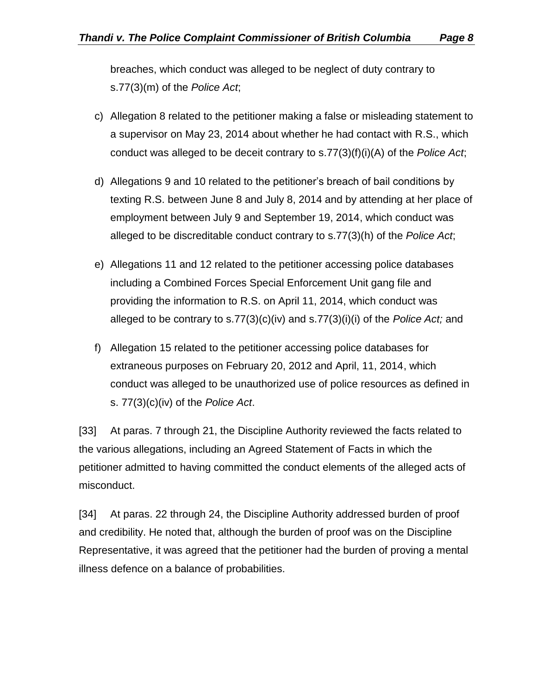breaches, which conduct was alleged to be neglect of duty contrary to s.77(3)(m) of the *Police Act*;

- c) Allegation 8 related to the petitioner making a false or misleading statement to a supervisor on May 23, 2014 about whether he had contact with R.S., which conduct was alleged to be deceit contrary to s.77(3)(f)(i)(A) of the *Police Act*;
- d) Allegations 9 and 10 related to the petitioner's breach of bail conditions by texting R.S. between June 8 and July 8, 2014 and by attending at her place of employment between July 9 and September 19, 2014, which conduct was alleged to be discreditable conduct contrary to s.77(3)(h) of the *Police Act*;
- e) Allegations 11 and 12 related to the petitioner accessing police databases including a Combined Forces Special Enforcement Unit gang file and providing the information to R.S. on April 11, 2014, which conduct was alleged to be contrary to s.77(3)(c)(iv) and s.77(3)(i)(i) of the *Police Act;* and
- f) Allegation 15 related to the petitioner accessing police databases for extraneous purposes on February 20, 2012 and April, 11, 2014, which conduct was alleged to be unauthorized use of police resources as defined in s. 77(3)(c)(iv) of the *Police Act*.

[33] At paras. 7 through 21, the Discipline Authority reviewed the facts related to the various allegations, including an Agreed Statement of Facts in which the petitioner admitted to having committed the conduct elements of the alleged acts of misconduct.

[34] At paras. 22 through 24, the Discipline Authority addressed burden of proof and credibility. He noted that, although the burden of proof was on the Discipline Representative, it was agreed that the petitioner had the burden of proving a mental illness defence on a balance of probabilities.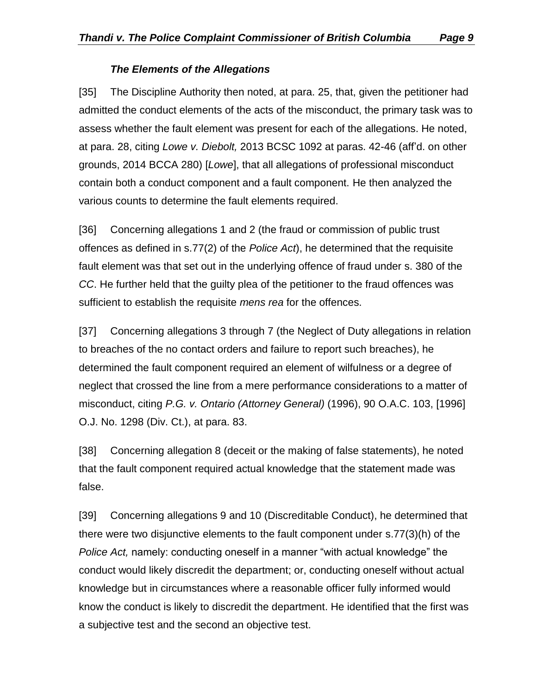#### *The Elements of the Allegations*

<span id="page-8-0"></span>[35] The Discipline Authority then noted, at para. 25, that, given the petitioner had admitted the conduct elements of the acts of the misconduct, the primary task was to assess whether the fault element was present for each of the allegations. He noted, at para. 28, citing *Lowe v. Diebolt,* 2013 BCSC 1092 at paras. 42-46 (aff'd. on other grounds, 2014 BCCA 280) [*Lowe*], that all allegations of professional misconduct contain both a conduct component and a fault component. He then analyzed the various counts to determine the fault elements required.

[36] Concerning allegations 1 and 2 (the fraud or commission of public trust offences as defined in s.77(2) of the *Police Act*), he determined that the requisite fault element was that set out in the underlying offence of fraud under s. 380 of the *CC*. He further held that the guilty plea of the petitioner to the fraud offences was sufficient to establish the requisite *mens rea* for the offences.

[37] Concerning allegations 3 through 7 (the Neglect of Duty allegations in relation to breaches of the no contact orders and failure to report such breaches), he determined the fault component required an element of wilfulness or a degree of neglect that crossed the line from a mere performance considerations to a matter of misconduct, citing *P.G. v. Ontario (Attorney General)* (1996), 90 O.A.C. 103, [1996] O.J. No. 1298 (Div. Ct.), at para. 83.

[38] Concerning allegation 8 (deceit or the making of false statements), he noted that the fault component required actual knowledge that the statement made was false.

[39] Concerning allegations 9 and 10 (Discreditable Conduct), he determined that there were two disjunctive elements to the fault component under s.77(3)(h) of the *Police Act,* namely: conducting oneself in a manner "with actual knowledge" the conduct would likely discredit the department; or, conducting oneself without actual knowledge but in circumstances where a reasonable officer fully informed would know the conduct is likely to discredit the department. He identified that the first was a subjective test and the second an objective test.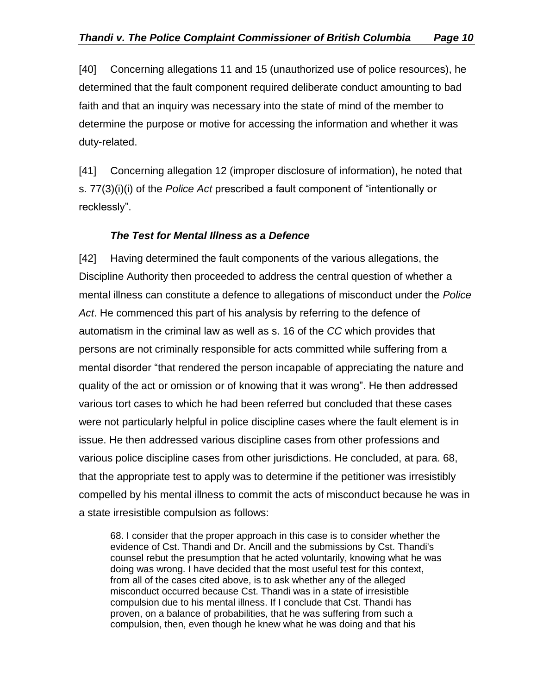[40] Concerning allegations 11 and 15 (unauthorized use of police resources), he determined that the fault component required deliberate conduct amounting to bad faith and that an inquiry was necessary into the state of mind of the member to determine the purpose or motive for accessing the information and whether it was duty-related.

[41] Concerning allegation 12 (improper disclosure of information), he noted that s. 77(3)(i)(i) of the *Police Act* prescribed a fault component of "intentionally or recklessly".

#### *The Test for Mental Illness as a Defence*

<span id="page-9-0"></span>[42] Having determined the fault components of the various allegations, the Discipline Authority then proceeded to address the central question of whether a mental illness can constitute a defence to allegations of misconduct under the *Police Act*. He commenced this part of his analysis by referring to the defence of automatism in the criminal law as well as s. 16 of the *CC* which provides that persons are not criminally responsible for acts committed while suffering from a mental disorder "that rendered the person incapable of appreciating the nature and quality of the act or omission or of knowing that it was wrong". He then addressed various tort cases to which he had been referred but concluded that these cases were not particularly helpful in police discipline cases where the fault element is in issue. He then addressed various discipline cases from other professions and various police discipline cases from other jurisdictions. He concluded, at para. 68, that the appropriate test to apply was to determine if the petitioner was irresistibly compelled by his mental illness to commit the acts of misconduct because he was in a state irresistible compulsion as follows:

68. I consider that the proper approach in this case is to consider whether the evidence of Cst. Thandi and Dr. Ancill and the submissions by Cst. Thandi's counsel rebut the presumption that he acted voluntarily, knowing what he was doing was wrong. I have decided that the most useful test for this context, from all of the cases cited above, is to ask whether any of the alleged misconduct occurred because Cst. Thandi was in a state of irresistible compulsion due to his mental illness. If I conclude that Cst. Thandi has proven, on a balance of probabilities, that he was suffering from such a compulsion, then, even though he knew what he was doing and that his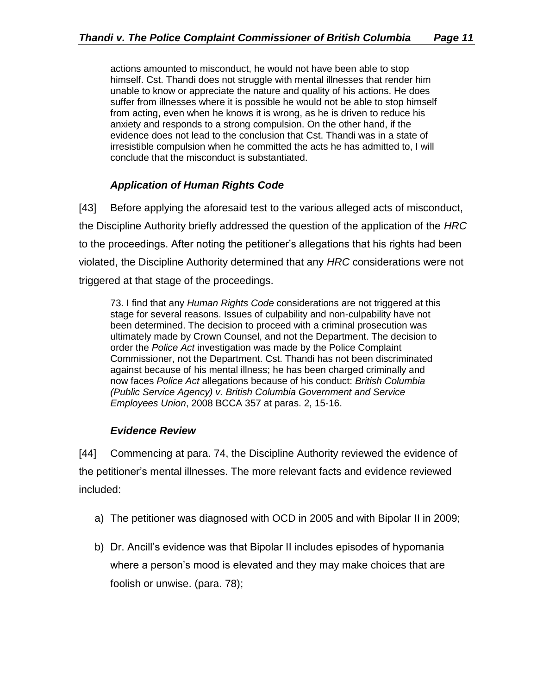actions amounted to misconduct, he would not have been able to stop himself. Cst. Thandi does not struggle with mental illnesses that render him unable to know or appreciate the nature and quality of his actions. He does suffer from illnesses where it is possible he would not be able to stop himself from acting, even when he knows it is wrong, as he is driven to reduce his anxiety and responds to a strong compulsion. On the other hand, if the evidence does not lead to the conclusion that Cst. Thandi was in a state of irresistible compulsion when he committed the acts he has admitted to, I will conclude that the misconduct is substantiated.

## *Application of Human Rights Code*

<span id="page-10-0"></span>[43] Before applying the aforesaid test to the various alleged acts of misconduct, the Discipline Authority briefly addressed the question of the application of the *HRC* to the proceedings. After noting the petitioner's allegations that his rights had been violated, the Discipline Authority determined that any *HRC* considerations were not triggered at that stage of the proceedings.

73. I find that any *Human Rights Code* considerations are not triggered at this stage for several reasons. Issues of culpability and non-culpability have not been determined. The decision to proceed with a criminal prosecution was ultimately made by Crown Counsel, and not the Department. The decision to order the *Police Act* investigation was made by the Police Complaint Commissioner, not the Department. Cst. Thandi has not been discriminated against because of his mental illness; he has been charged criminally and now faces *Police Act* allegations because of his conduct: *British Columbia (Public Service Agency) v. British Columbia Government and Service Employees Union*, 2008 BCCA 357 at paras. 2, 15-16.

#### *Evidence Review*

<span id="page-10-1"></span>[44] Commencing at para. 74, the Discipline Authority reviewed the evidence of the petitioner's mental illnesses. The more relevant facts and evidence reviewed included:

- a) The petitioner was diagnosed with OCD in 2005 and with Bipolar II in 2009;
- b) Dr. Ancill's evidence was that Bipolar II includes episodes of hypomania where a person's mood is elevated and they may make choices that are foolish or unwise. (para. 78);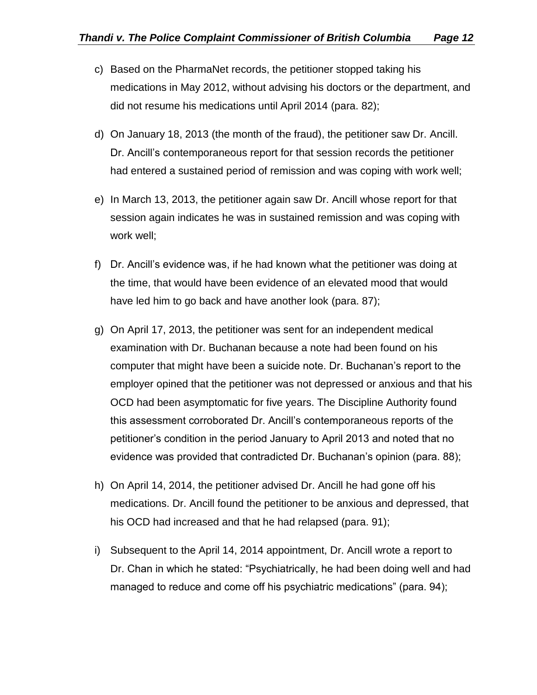- c) Based on the PharmaNet records, the petitioner stopped taking his medications in May 2012, without advising his doctors or the department, and did not resume his medications until April 2014 (para. 82);
- d) On January 18, 2013 (the month of the fraud), the petitioner saw Dr. Ancill. Dr. Ancill's contemporaneous report for that session records the petitioner had entered a sustained period of remission and was coping with work well;
- e) In March 13, 2013, the petitioner again saw Dr. Ancill whose report for that session again indicates he was in sustained remission and was coping with work well;
- f) Dr. Ancill's evidence was, if he had known what the petitioner was doing at the time, that would have been evidence of an elevated mood that would have led him to go back and have another look (para. 87);
- g) On April 17, 2013, the petitioner was sent for an independent medical examination with Dr. Buchanan because a note had been found on his computer that might have been a suicide note. Dr. Buchanan's report to the employer opined that the petitioner was not depressed or anxious and that his OCD had been asymptomatic for five years. The Discipline Authority found this assessment corroborated Dr. Ancill's contemporaneous reports of the petitioner's condition in the period January to April 2013 and noted that no evidence was provided that contradicted Dr. Buchanan's opinion (para. 88);
- h) On April 14, 2014, the petitioner advised Dr. Ancill he had gone off his medications. Dr. Ancill found the petitioner to be anxious and depressed, that his OCD had increased and that he had relapsed (para. 91);
- i) Subsequent to the April 14, 2014 appointment, Dr. Ancill wrote a report to Dr. Chan in which he stated: "Psychiatrically, he had been doing well and had managed to reduce and come off his psychiatric medications" (para. 94);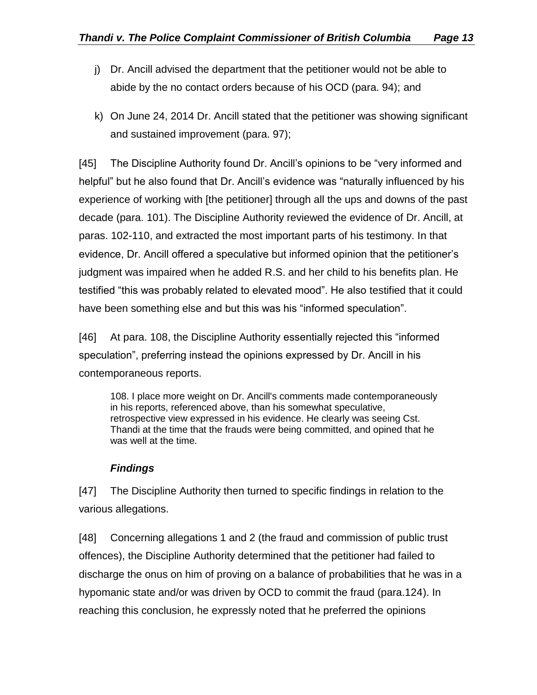- j) Dr. Ancill advised the department that the petitioner would not be able to abide by the no contact orders because of his OCD (para. 94); and
- k) On June 24, 2014 Dr. Ancill stated that the petitioner was showing significant and sustained improvement (para. 97);

[45] The Discipline Authority found Dr. Ancill's opinions to be "very informed and helpful" but he also found that Dr. Ancill's evidence was "naturally influenced by his experience of working with [the petitioner] through all the ups and downs of the past decade (para. 101). The Discipline Authority reviewed the evidence of Dr. Ancill, at paras. 102-110, and extracted the most important parts of his testimony. In that evidence, Dr. Ancill offered a speculative but informed opinion that the petitioner's judgment was impaired when he added R.S. and her child to his benefits plan. He testified "this was probably related to elevated mood". He also testified that it could have been something else and but this was his "informed speculation".

[46] At para. 108, the Discipline Authority essentially rejected this "informed speculation", preferring instead the opinions expressed by Dr. Ancill in his contemporaneous reports.

108. I place more weight on Dr. Ancill's comments made contemporaneously in his reports, referenced above, than his somewhat speculative, retrospective view expressed in his evidence. He clearly was seeing Cst. Thandi at the time that the frauds were being committed, and opined that he was well at the time.

## *Findings*

<span id="page-12-0"></span>[47] The Discipline Authority then turned to specific findings in relation to the various allegations.

[48] Concerning allegations 1 and 2 (the fraud and commission of public trust offences), the Discipline Authority determined that the petitioner had failed to discharge the onus on him of proving on a balance of probabilities that he was in a hypomanic state and/or was driven by OCD to commit the fraud (para.124). In reaching this conclusion, he expressly noted that he preferred the opinions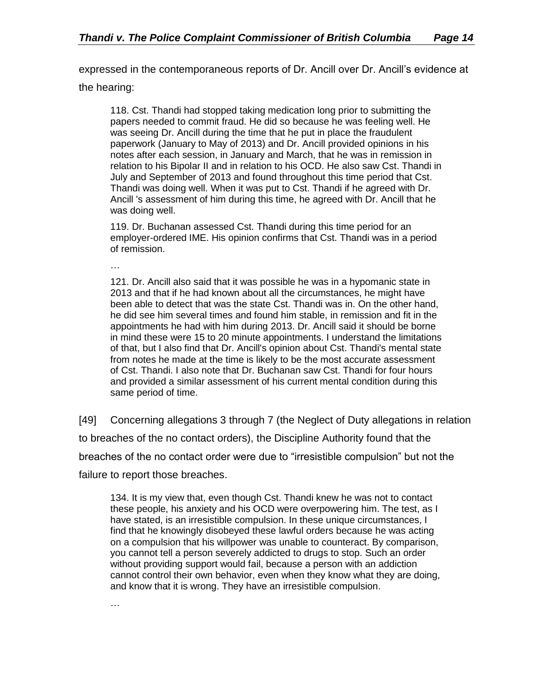expressed in the contemporaneous reports of Dr. Ancill over Dr. Ancill's evidence at

the hearing:

118. Cst. Thandi had stopped taking medication long prior to submitting the papers needed to commit fraud. He did so because he was feeling well. He was seeing Dr. Ancill during the time that he put in place the fraudulent paperwork (January to May of 2013) and Dr. Ancill provided opinions in his notes after each session, in January and March, that he was in remission in relation to his Bipolar II and in relation to his OCD. He also saw Cst. Thandi in July and September of 2013 and found throughout this time period that Cst. Thandi was doing well. When it was put to Cst. Thandi if he agreed with Dr. Ancill 's assessment of him during this time, he agreed with Dr. Ancill that he was doing well.

119. Dr. Buchanan assessed Cst. Thandi during this time period for an employer-ordered IME. His opinion confirms that Cst. Thandi was in a period of remission.

…

121. Dr. Ancill also said that it was possible he was in a hypomanic state in 2013 and that if he had known about all the circumstances, he might have been able to detect that was the state Cst. Thandi was in. On the other hand, he did see him several times and found him stable, in remission and fit in the appointments he had with him during 2013. Dr. Ancill said it should be borne in mind these were 15 to 20 minute appointments. I understand the limitations of that, but I also find that Dr. Ancill's opinion about Cst. Thandi's mental state from notes he made at the time is likely to be the most accurate assessment of Cst. Thandi. I also note that Dr. Buchanan saw Cst. Thandi for four hours and provided a similar assessment of his current mental condition during this same period of time.

[49] Concerning allegations 3 through 7 (the Neglect of Duty allegations in relation to breaches of the no contact orders), the Discipline Authority found that the breaches of the no contact order were due to "irresistible compulsion" but not the failure to report those breaches.

134. It is my view that, even though Cst. Thandi knew he was not to contact these people, his anxiety and his OCD were overpowering him. The test, as I have stated, is an irresistible compulsion. In these unique circumstances, I find that he knowingly disobeyed these lawful orders because he was acting on a compulsion that his willpower was unable to counteract. By comparison, you cannot tell a person severely addicted to drugs to stop. Such an order without providing support would fail, because a person with an addiction cannot control their own behavior, even when they know what they are doing, and know that it is wrong. They have an irresistible compulsion.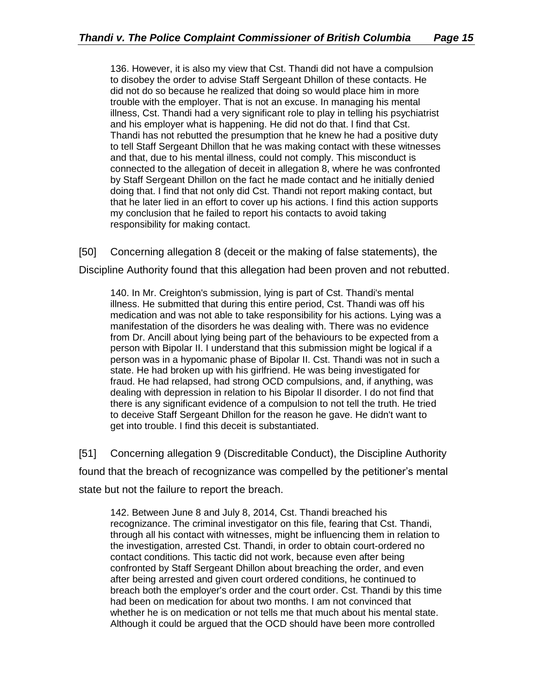136. However, it is also my view that Cst. Thandi did not have a compulsion to disobey the order to advise Staff Sergeant Dhillon of these contacts. He did not do so because he realized that doing so would place him in more trouble with the employer. That is not an excuse. In managing his mental illness, Cst. Thandi had a very significant role to play in telling his psychiatrist and his employer what is happening. He did not do that. l find that Cst. Thandi has not rebutted the presumption that he knew he had a positive duty to tell Staff Sergeant Dhillon that he was making contact with these witnesses and that, due to his mental illness, could not comply. This misconduct is connected to the allegation of deceit in allegation 8, where he was confronted by Staff Sergeant Dhillon on the fact he made contact and he initially denied doing that. I find that not only did Cst. Thandi not report making contact, but that he later lied in an effort to cover up his actions. I find this action supports my conclusion that he failed to report his contacts to avoid taking responsibility for making contact.

[50] Concerning allegation 8 (deceit or the making of false statements), the

Discipline Authority found that this allegation had been proven and not rebutted.

140. In Mr. Creighton's submission, lying is part of Cst. Thandi's mental illness. He submitted that during this entire period, Cst. Thandi was off his medication and was not able to take responsibility for his actions. Lying was a manifestation of the disorders he was dealing with. There was no evidence from Dr. Ancill about lying being part of the behaviours to be expected from a person with Bipolar II. I understand that this submission might be logical if a person was in a hypomanic phase of Bipolar II. Cst. Thandi was not in such a state. He had broken up with his girlfriend. He was being investigated for fraud. He had relapsed, had strong OCD compulsions, and, if anything, was dealing with depression in relation to his Bipolar Il disorder. I do not find that there is any significant evidence of a compulsion to not tell the truth. He tried to deceive Staff Sergeant Dhillon for the reason he gave. He didn't want to get into trouble. I find this deceit is substantiated.

[51] Concerning allegation 9 (Discreditable Conduct), the Discipline Authority found that the breach of recognizance was compelled by the petitioner's mental state but not the failure to report the breach.

142. Between June 8 and July 8, 2014, Cst. Thandi breached his recognizance. The criminal investigator on this file, fearing that Cst. Thandi, through all his contact with witnesses, might be influencing them in relation to the investigation, arrested Cst. Thandi, in order to obtain court-ordered no contact conditions. This tactic did not work, because even after being confronted by Staff Sergeant Dhillon about breaching the order, and even after being arrested and given court ordered conditions, he continued to breach both the employer's order and the court order. Cst. Thandi by this time had been on medication for about two months. I am not convinced that whether he is on medication or not tells me that much about his mental state. Although it could be argued that the OCD should have been more controlled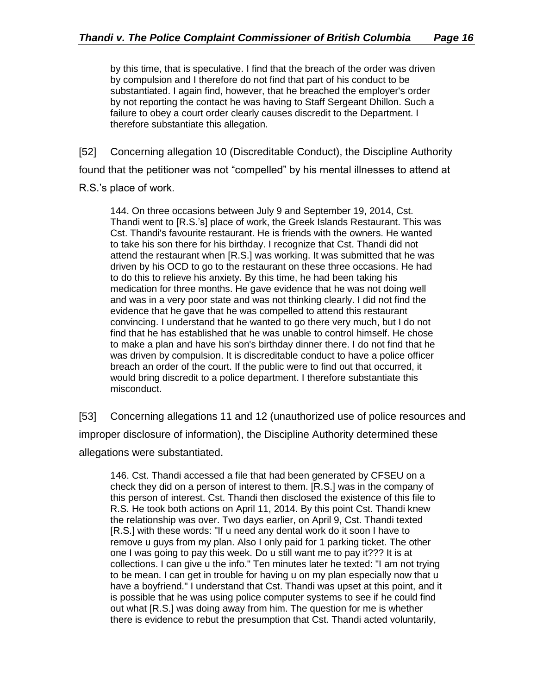by this time, that is speculative. I find that the breach of the order was driven by compulsion and I therefore do not find that part of his conduct to be substantiated. I again find, however, that he breached the employer's order by not reporting the contact he was having to Staff Sergeant Dhillon. Such a failure to obey a court order clearly causes discredit to the Department. I therefore substantiate this allegation.

[52] Concerning allegation 10 (Discreditable Conduct), the Discipline Authority

found that the petitioner was not "compelled" by his mental illnesses to attend at

R.S.'s place of work.

144. On three occasions between July 9 and September 19, 2014, Cst. Thandi went to [R.S.'s] place of work, the Greek Islands Restaurant. This was Cst. Thandi's favourite restaurant. He is friends with the owners. He wanted to take his son there for his birthday. I recognize that Cst. Thandi did not attend the restaurant when [R.S.] was working. It was submitted that he was driven by his OCD to go to the restaurant on these three occasions. He had to do this to relieve his anxiety. By this time, he had been taking his medication for three months. He gave evidence that he was not doing well and was in a very poor state and was not thinking clearly. I did not find the evidence that he gave that he was compelled to attend this restaurant convincing. I understand that he wanted to go there very much, but I do not find that he has established that he was unable to control himself. He chose to make a plan and have his son's birthday dinner there. I do not find that he was driven by compulsion. It is discreditable conduct to have a police officer breach an order of the court. If the public were to find out that occurred, it would bring discredit to a police department. I therefore substantiate this misconduct.

[53] Concerning allegations 11 and 12 (unauthorized use of police resources and improper disclosure of information), the Discipline Authority determined these allegations were substantiated.

146. Cst. Thandi accessed a file that had been generated by CFSEU on a check they did on a person of interest to them. [R.S.] was in the company of this person of interest. Cst. Thandi then disclosed the existence of this file to R.S. He took both actions on April 11, 2014. By this point Cst. Thandi knew the relationship was over. Two days earlier, on April 9, Cst. Thandi texted [R.S.] with these words: "If u need any dental work do it soon I have to remove u guys from my plan. Also I only paid for 1 parking ticket. The other one I was going to pay this week. Do u still want me to pay it??? It is at collections. I can give u the info." Ten minutes later he texted: "I am not trying to be mean. I can get in trouble for having u on my plan especially now that u have a boyfriend." I understand that Cst. Thandi was upset at this point, and it is possible that he was using police computer systems to see if he could find out what [R.S.] was doing away from him. The question for me is whether there is evidence to rebut the presumption that Cst. Thandi acted voluntarily,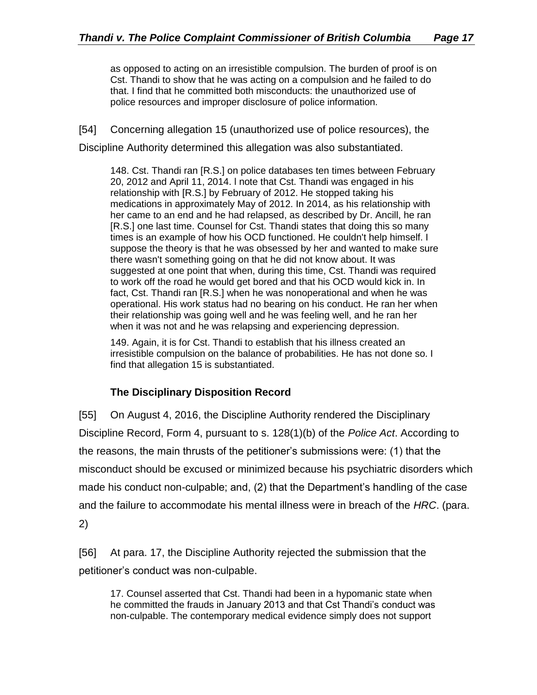as opposed to acting on an irresistible compulsion. The burden of proof is on Cst. Thandi to show that he was acting on a compulsion and he failed to do that. I find that he committed both misconducts: the unauthorized use of police resources and improper disclosure of police information.

[54] Concerning allegation 15 (unauthorized use of police resources), the Discipline Authority determined this allegation was also substantiated.

148. Cst. Thandi ran [R.S.] on police databases ten times between February 20, 2012 and April 11, 2014. l note that Cst. Thandi was engaged in his relationship with [R.S.] by February of 2012. He stopped taking his medications in approximately May of 2012. In 2014, as his relationship with her came to an end and he had relapsed, as described by Dr. Ancill, he ran [R.S.] one last time. Counsel for Cst. Thandi states that doing this so many times is an example of how his OCD functioned. He couldn't help himself. I suppose the theory is that he was obsessed by her and wanted to make sure there wasn't something going on that he did not know about. It was suggested at one point that when, during this time, Cst. Thandi was required to work off the road he would get bored and that his OCD would kick in. In fact, Cst. Thandi ran [R.S.] when he was nonoperational and when he was operational. His work status had no bearing on his conduct. He ran her when their relationship was going well and he was feeling well, and he ran her when it was not and he was relapsing and experiencing depression.

149. Again, it is for Cst. Thandi to establish that his illness created an irresistible compulsion on the balance of probabilities. He has not done so. I find that allegation 15 is substantiated.

## **The Disciplinary Disposition Record**

<span id="page-16-0"></span>[55] On August 4, 2016, the Discipline Authority rendered the Disciplinary Discipline Record, Form 4, pursuant to s. 128(1)(b) of the *Police Act*. According to the reasons, the main thrusts of the petitioner's submissions were: (1) that the misconduct should be excused or minimized because his psychiatric disorders which made his conduct non-culpable; and, (2) that the Department's handling of the case and the failure to accommodate his mental illness were in breach of the *HRC*. (para. 2)

[56] At para. 17, the Discipline Authority rejected the submission that the petitioner's conduct was non-culpable.

17. Counsel asserted that Cst. Thandi had been in a hypomanic state when he committed the frauds in January 2013 and that Cst Thandi's conduct was non-culpable. The contemporary medical evidence simply does not support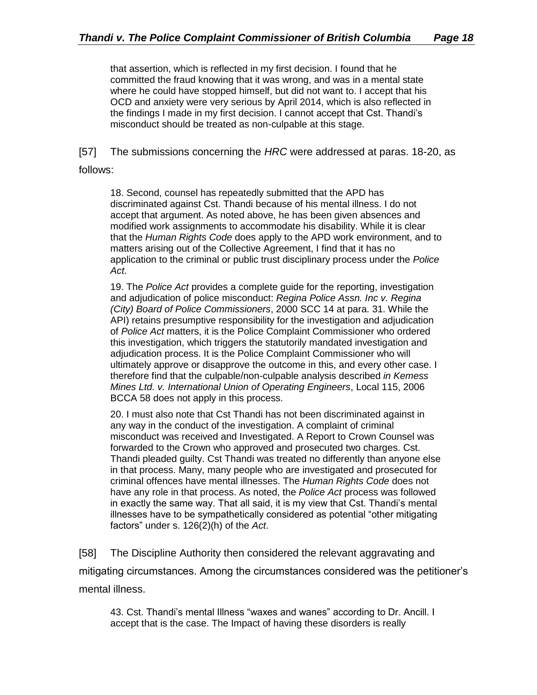that assertion, which is reflected in my first decision. I found that he committed the fraud knowing that it was wrong, and was in a mental state where he could have stopped himself, but did not want to. I accept that his OCD and anxiety were very serious by April 2014, which is also reflected in the findings I made in my first decision. I cannot accept that Cst. Thandi's misconduct should be treated as non-culpable at this stage.

[57] The submissions concerning the *HRC* were addressed at paras. 18-20, as

follows:

18. Second, counsel has repeatedly submitted that the APD has discriminated against Cst. Thandi because of his mental illness. I do not accept that argument. As noted above, he has been given absences and modified work assignments to accommodate his disability. While it is clear that the *Human Rights Code* does apply to the APD work environment, and to matters arising out of the Collective Agreement, I find that it has no application to the criminal or public trust disciplinary process under the *Police Act*.

19. The *Police Act* provides a complete guide for the reporting, investigation and adjudication of police misconduct: *Regina Police Assn. Inc v. Regina (City) Board of Police Commissioners*, 2000 SCC 14 at para. 31. While the API) retains presumptive responsibility for the investigation and adjudication of *Police Act* matters, it is the Police Complaint Commissioner who ordered this investigation, which triggers the statutorily mandated investigation and adjudication process. It is the Police Complaint Commissioner who will ultimately approve or disapprove the outcome in this, and every other case. I therefore find that the culpable/non-culpable analysis described *in Kemess Mines Ltd. v. International Union of Operating Engineers*, Local 115, 2006 BCCA 58 does not apply in this process.

20. I must also note that Cst Thandi has not been discriminated against in any way in the conduct of the investigation. A complaint of criminal misconduct was received and Investigated. A Report to Crown Counsel was forwarded to the Crown who approved and prosecuted two charges. Cst. Thandi pleaded guilty. Cst Thandi was treated no differently than anyone else in that process. Many, many people who are investigated and prosecuted for criminal offences have mental illnesses. The *Human Rights Code* does not have any role in that process. As noted, the *Police Act* process was followed in exactly the same way. That all said, it is my view that Cst. Thandi's mental illnesses have to be sympathetically considered as potential "other mitigating factors" under s. 126(2)(h) of the *Act*.

[58] The Discipline Authority then considered the relevant aggravating and mitigating circumstances. Among the circumstances considered was the petitioner's mental illness.

43. Cst. Thandi's mental Illness "waxes and wanes" according to Dr. Ancill. I accept that is the case. The Impact of having these disorders is really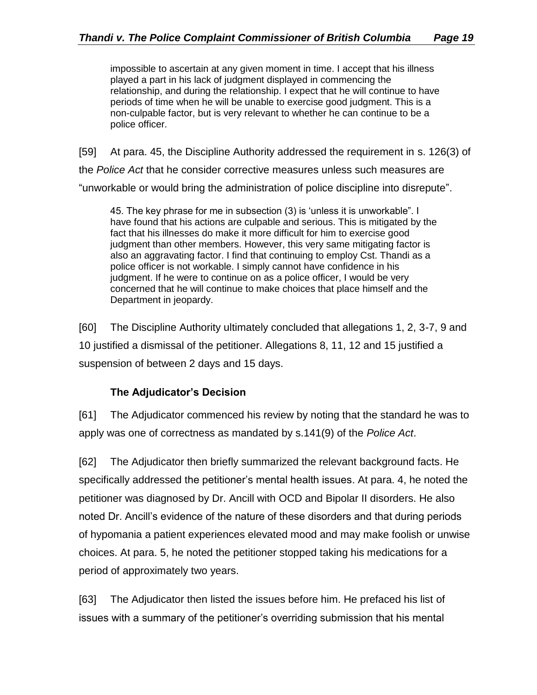impossible to ascertain at any given moment in time. I accept that his illness played a part in his lack of judgment displayed in commencing the relationship, and during the relationship. I expect that he will continue to have periods of time when he will be unable to exercise good judgment. This is a non-culpable factor, but is very relevant to whether he can continue to be a police officer.

[59] At para. 45, the Discipline Authority addressed the requirement in s. 126(3) of the *Police Act* that he consider corrective measures unless such measures are "unworkable or would bring the administration of police discipline into disrepute".

45. The key phrase for me in subsection (3) is 'unless it is unworkable". I have found that his actions are culpable and serious. This is mitigated by the fact that his illnesses do make it more difficult for him to exercise good judgment than other members. However, this very same mitigating factor is also an aggravating factor. I find that continuing to employ Cst. Thandi as a police officer is not workable. I simply cannot have confidence in his judgment. If he were to continue on as a police officer, I would be very concerned that he will continue to make choices that place himself and the Department in jeopardy.

[60] The Discipline Authority ultimately concluded that allegations 1, 2, 3-7, 9 and 10 justified a dismissal of the petitioner. Allegations 8, 11, 12 and 15 justified a suspension of between 2 days and 15 days.

## **The Adjudicator's Decision**

<span id="page-18-0"></span>[61] The Adjudicator commenced his review by noting that the standard he was to apply was one of correctness as mandated by s.141(9) of the *Police Act*.

[62] The Adjudicator then briefly summarized the relevant background facts. He specifically addressed the petitioner's mental health issues. At para. 4, he noted the petitioner was diagnosed by Dr. Ancill with OCD and Bipolar II disorders. He also noted Dr. Ancill's evidence of the nature of these disorders and that during periods of hypomania a patient experiences elevated mood and may make foolish or unwise choices. At para. 5, he noted the petitioner stopped taking his medications for a period of approximately two years.

[63] The Adjudicator then listed the issues before him. He prefaced his list of issues with a summary of the petitioner's overriding submission that his mental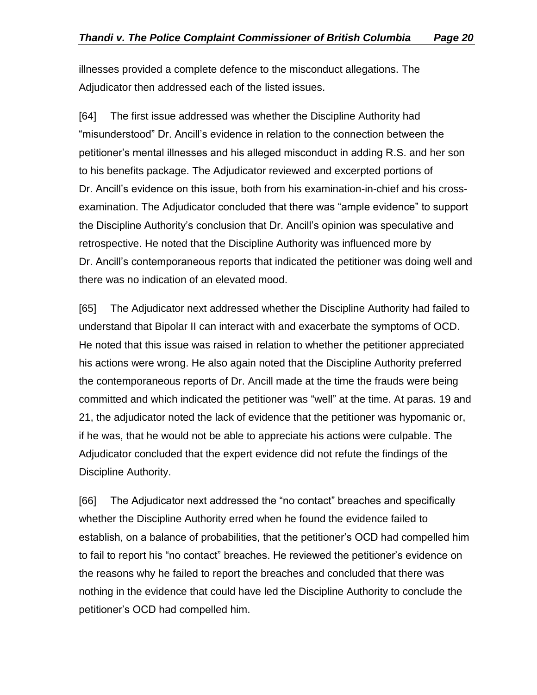illnesses provided a complete defence to the misconduct allegations. The Adjudicator then addressed each of the listed issues.

[64] The first issue addressed was whether the Discipline Authority had "misunderstood" Dr. Ancill's evidence in relation to the connection between the petitioner's mental illnesses and his alleged misconduct in adding R.S. and her son to his benefits package. The Adjudicator reviewed and excerpted portions of Dr. Ancill's evidence on this issue, both from his examination-in-chief and his crossexamination. The Adjudicator concluded that there was "ample evidence" to support the Discipline Authority's conclusion that Dr. Ancill's opinion was speculative and retrospective. He noted that the Discipline Authority was influenced more by Dr. Ancill's contemporaneous reports that indicated the petitioner was doing well and there was no indication of an elevated mood.

[65] The Adjudicator next addressed whether the Discipline Authority had failed to understand that Bipolar II can interact with and exacerbate the symptoms of OCD. He noted that this issue was raised in relation to whether the petitioner appreciated his actions were wrong. He also again noted that the Discipline Authority preferred the contemporaneous reports of Dr. Ancill made at the time the frauds were being committed and which indicated the petitioner was "well" at the time. At paras. 19 and 21, the adjudicator noted the lack of evidence that the petitioner was hypomanic or, if he was, that he would not be able to appreciate his actions were culpable. The Adjudicator concluded that the expert evidence did not refute the findings of the Discipline Authority.

[66] The Adjudicator next addressed the "no contact" breaches and specifically whether the Discipline Authority erred when he found the evidence failed to establish, on a balance of probabilities, that the petitioner's OCD had compelled him to fail to report his "no contact" breaches. He reviewed the petitioner's evidence on the reasons why he failed to report the breaches and concluded that there was nothing in the evidence that could have led the Discipline Authority to conclude the petitioner's OCD had compelled him.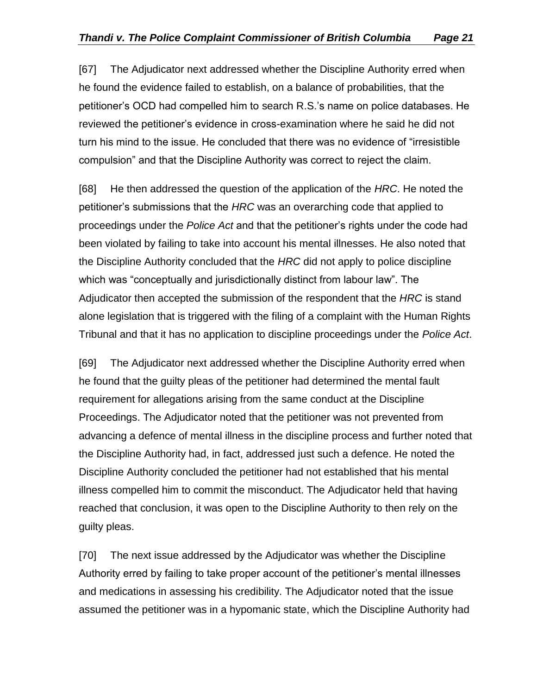[67] The Adjudicator next addressed whether the Discipline Authority erred when he found the evidence failed to establish, on a balance of probabilities, that the petitioner's OCD had compelled him to search R.S.'s name on police databases. He reviewed the petitioner's evidence in cross-examination where he said he did not turn his mind to the issue. He concluded that there was no evidence of "irresistible compulsion" and that the Discipline Authority was correct to reject the claim.

[68] He then addressed the question of the application of the *HRC*. He noted the petitioner's submissions that the *HRC* was an overarching code that applied to proceedings under the *Police Act* and that the petitioner's rights under the code had been violated by failing to take into account his mental illnesses. He also noted that the Discipline Authority concluded that the *HRC* did not apply to police discipline which was "conceptually and jurisdictionally distinct from labour law". The Adjudicator then accepted the submission of the respondent that the *HRC* is stand alone legislation that is triggered with the filing of a complaint with the Human Rights Tribunal and that it has no application to discipline proceedings under the *Police Act*.

[69] The Adjudicator next addressed whether the Discipline Authority erred when he found that the guilty pleas of the petitioner had determined the mental fault requirement for allegations arising from the same conduct at the Discipline Proceedings. The Adjudicator noted that the petitioner was not prevented from advancing a defence of mental illness in the discipline process and further noted that the Discipline Authority had, in fact, addressed just such a defence. He noted the Discipline Authority concluded the petitioner had not established that his mental illness compelled him to commit the misconduct. The Adjudicator held that having reached that conclusion, it was open to the Discipline Authority to then rely on the guilty pleas.

[70] The next issue addressed by the Adjudicator was whether the Discipline Authority erred by failing to take proper account of the petitioner's mental illnesses and medications in assessing his credibility. The Adjudicator noted that the issue assumed the petitioner was in a hypomanic state, which the Discipline Authority had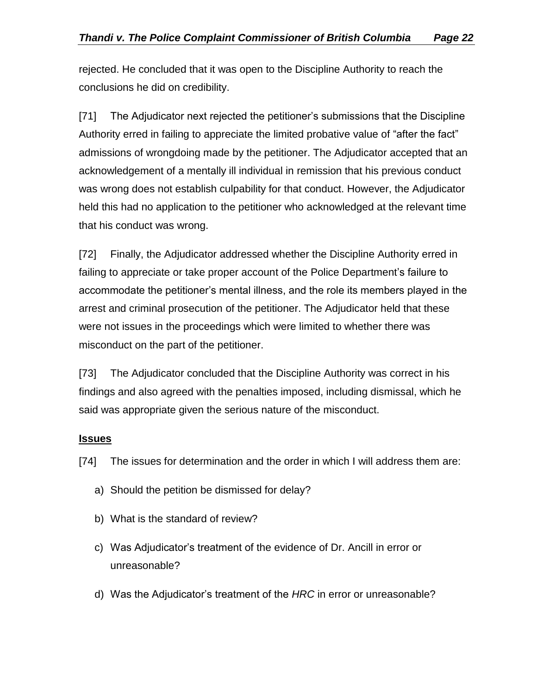rejected. He concluded that it was open to the Discipline Authority to reach the conclusions he did on credibility.

[71] The Adjudicator next rejected the petitioner's submissions that the Discipline Authority erred in failing to appreciate the limited probative value of "after the fact" admissions of wrongdoing made by the petitioner. The Adjudicator accepted that an acknowledgement of a mentally ill individual in remission that his previous conduct was wrong does not establish culpability for that conduct. However, the Adjudicator held this had no application to the petitioner who acknowledged at the relevant time that his conduct was wrong.

[72] Finally, the Adjudicator addressed whether the Discipline Authority erred in failing to appreciate or take proper account of the Police Department's failure to accommodate the petitioner's mental illness, and the role its members played in the arrest and criminal prosecution of the petitioner. The Adjudicator held that these were not issues in the proceedings which were limited to whether there was misconduct on the part of the petitioner.

[73] The Adjudicator concluded that the Discipline Authority was correct in his findings and also agreed with the penalties imposed, including dismissal, which he said was appropriate given the serious nature of the misconduct.

## <span id="page-21-0"></span>**Issues**

[74] The issues for determination and the order in which I will address them are:

- a) Should the petition be dismissed for delay?
- b) What is the standard of review?
- c) Was Adjudicator's treatment of the evidence of Dr. Ancill in error or unreasonable?
- d) Was the Adjudicator's treatment of the *HRC* in error or unreasonable?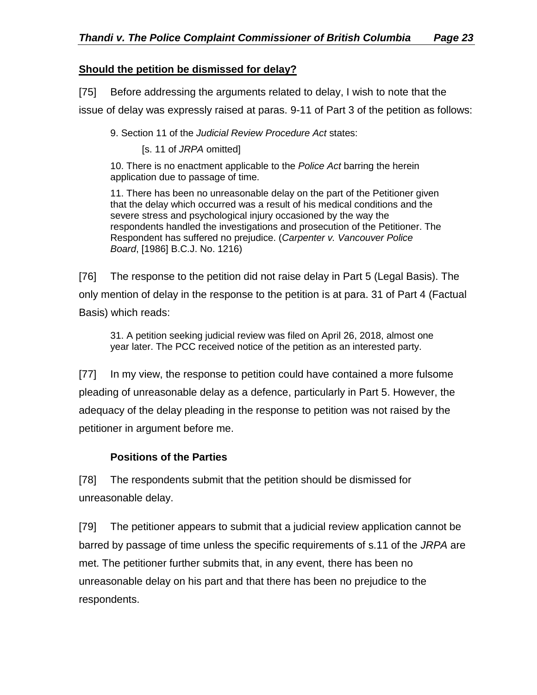## <span id="page-22-0"></span>**Should the petition be dismissed for delay?**

[75] Before addressing the arguments related to delay, I wish to note that the

issue of delay was expressly raised at paras. 9-11 of Part 3 of the petition as follows:

9. Section 11 of the *Judicial Review Procedure Act* states:

[s. 11 of *JRPA* omitted]

10. There is no enactment applicable to the *Police Act* barring the herein application due to passage of time.

11. There has been no unreasonable delay on the part of the Petitioner given that the delay which occurred was a result of his medical conditions and the severe stress and psychological injury occasioned by the way the respondents handled the investigations and prosecution of the Petitioner. The Respondent has suffered no prejudice. (*Carpenter v. Vancouver Police Board*, [1986] B.C.J. No. 1216)

[76] The response to the petition did not raise delay in Part 5 (Legal Basis). The only mention of delay in the response to the petition is at para. 31 of Part 4 (Factual Basis) which reads:

31. A petition seeking judicial review was filed on April 26, 2018, almost one year later. The PCC received notice of the petition as an interested party.

[77] In my view, the response to petition could have contained a more fulsome pleading of unreasonable delay as a defence, particularly in Part 5. However, the adequacy of the delay pleading in the response to petition was not raised by the petitioner in argument before me.

## **Positions of the Parties**

<span id="page-22-1"></span>[78] The respondents submit that the petition should be dismissed for unreasonable delay.

[79] The petitioner appears to submit that a judicial review application cannot be barred by passage of time unless the specific requirements of s.11 of the *JRPA* are met. The petitioner further submits that, in any event, there has been no unreasonable delay on his part and that there has been no prejudice to the respondents.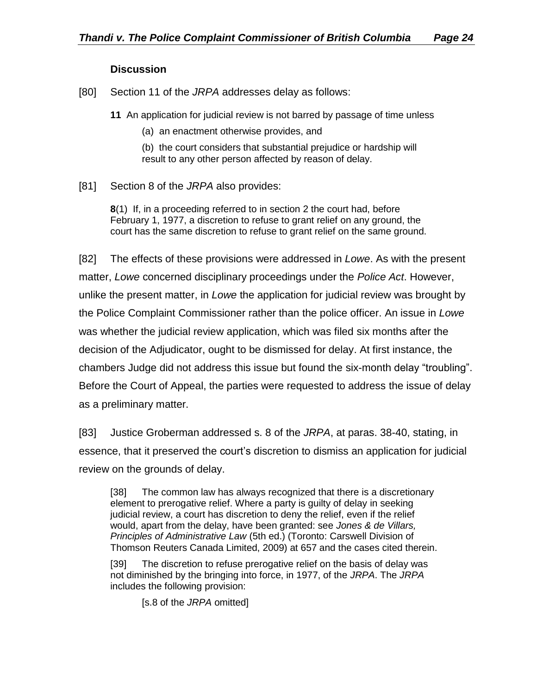#### **Discussion**

<span id="page-23-0"></span>[80] Section 11 of the *JRPA* addresses delay as follows:

**11** An application for judicial review is not barred by passage of time unless

(a) an enactment otherwise provides, and

(b) the court considers that substantial prejudice or hardship will result to any other person affected by reason of delay.

[81] Section 8 of the *JRPA* also provides:

**8**(1) If, in a proceeding referred to in section 2 the court had, before February 1, 1977, a discretion to refuse to grant relief on any ground, the court has the same discretion to refuse to grant relief on the same ground.

[82] The effects of these provisions were addressed in *Lowe*. As with the present matter, *Lowe* concerned disciplinary proceedings under the *Police Act*. However, unlike the present matter, in *Lowe* the application for judicial review was brought by the Police Complaint Commissioner rather than the police officer. An issue in *Lowe* was whether the judicial review application, which was filed six months after the decision of the Adjudicator, ought to be dismissed for delay. At first instance, the chambers Judge did not address this issue but found the six-month delay "troubling". Before the Court of Appeal, the parties were requested to address the issue of delay as a preliminary matter.

[83] Justice Groberman addressed s. 8 of the *JRPA*, at paras. 38-40, stating, in essence, that it preserved the court's discretion to dismiss an application for judicial review on the grounds of delay.

[38] The common law has always recognized that there is a discretionary element to prerogative relief. Where a party is guilty of delay in seeking judicial review, a court has discretion to deny the relief, even if the relief would, apart from the delay, have been granted: see *Jones & de Villars, Principles of Administrative Law* (5th ed.) (Toronto: Carswell Division of Thomson Reuters Canada Limited, 2009) at 657 and the cases cited therein.

[39] The discretion to refuse prerogative relief on the basis of delay was not diminished by the bringing into force, in 1977, of the *JRPA*. The *JRPA* includes the following provision:

[s.8 of the *JRPA* omitted]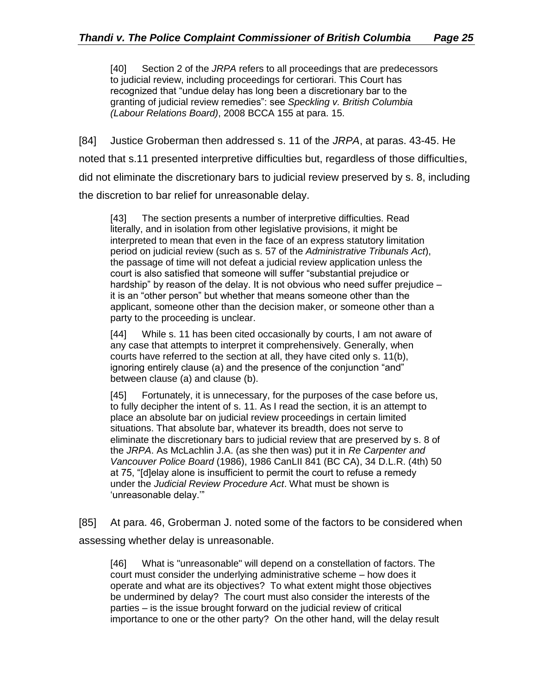[40] Section 2 of the *JRPA* refers to all proceedings that are predecessors to judicial review, including proceedings for certiorari. This Court has recognized that "undue delay has long been a discretionary bar to the granting of judicial review remedies": see *Speckling v. British Columbia (Labour Relations Board)*, 2008 BCCA 155 at para. 15.

[84] Justice Groberman then addressed s. 11 of the *JRPA*, at paras. 43-45. He noted that s.11 presented interpretive difficulties but, regardless of those difficulties, did not eliminate the discretionary bars to judicial review preserved by s. 8, including the discretion to bar relief for unreasonable delay.

[43] The section presents a number of interpretive difficulties. Read literally, and in isolation from other legislative provisions, it might be interpreted to mean that even in the face of an express statutory limitation period on judicial review (such as s. 57 of the *Administrative Tribunals Act*), the passage of time will not defeat a judicial review application unless the court is also satisfied that someone will suffer "substantial prejudice or hardship" by reason of the delay. It is not obvious who need suffer prejudice – it is an "other person" but whether that means someone other than the applicant, someone other than the decision maker, or someone other than a party to the proceeding is unclear.

[44] While s. 11 has been cited occasionally by courts, I am not aware of any case that attempts to interpret it comprehensively. Generally, when courts have referred to the section at all, they have cited only s. 11(b), ignoring entirely clause (a) and the presence of the conjunction "and" between clause (a) and clause (b).

[45] Fortunately, it is unnecessary, for the purposes of the case before us, to fully decipher the intent of s. 11. As I read the section, it is an attempt to place an absolute bar on judicial review proceedings in certain limited situations. That absolute bar, whatever its breadth, does not serve to eliminate the discretionary bars to judicial review that are preserved by s. 8 of the *JRPA*. As McLachlin J.A. (as she then was) put it in *Re Carpenter and Vancouver Police Board* (1986), 1986 CanLII 841 (BC CA), 34 D.L.R. (4th) 50 at 75, "[d]elay alone is insufficient to permit the court to refuse a remedy under the *Judicial Review Procedure Act*. What must be shown is 'unreasonable delay.'"

[85] At para. 46, Groberman J. noted some of the factors to be considered when assessing whether delay is unreasonable.

[46] What is "unreasonable" will depend on a constellation of factors. The court must consider the underlying administrative scheme – how does it operate and what are its objectives? To what extent might those objectives be undermined by delay? The court must also consider the interests of the parties – is the issue brought forward on the judicial review of critical importance to one or the other party? On the other hand, will the delay result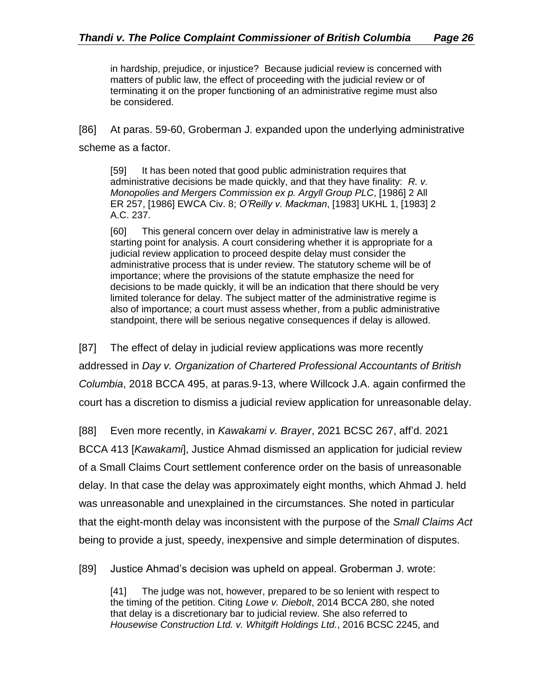in hardship, prejudice, or injustice? Because judicial review is concerned with matters of public law, the effect of proceeding with the judicial review or of terminating it on the proper functioning of an administrative regime must also be considered.

[86] At paras. 59-60, Groberman J. expanded upon the underlying administrative scheme as a factor.

[59] It has been noted that good public administration requires that administrative decisions be made quickly, and that they have finality: *R. v. Monopolies and Mergers Commission ex p. Argyll Group PLC*, [1986] 2 All ER 257, [1986] EWCA Civ. 8; *O'Reilly v. Mackman*, [1983] UKHL 1, [1983] 2 A.C. 237.

[60] This general concern over delay in administrative law is merely a starting point for analysis. A court considering whether it is appropriate for a judicial review application to proceed despite delay must consider the administrative process that is under review. The statutory scheme will be of importance; where the provisions of the statute emphasize the need for decisions to be made quickly, it will be an indication that there should be very limited tolerance for delay. The subject matter of the administrative regime is also of importance; a court must assess whether, from a public administrative standpoint, there will be serious negative consequences if delay is allowed.

[87] The effect of delay in judicial review applications was more recently addressed in *Day v. Organization of Chartered Professional Accountants of British Columbia*, 2018 BCCA 495, at paras.9-13, where Willcock J.A. again confirmed the court has a discretion to dismiss a judicial review application for unreasonable delay.

[88] Even more recently, in *Kawakami v. Brayer*, 2021 BCSC 267, aff'd. 2021 BCCA 413 [*Kawakami*], Justice Ahmad dismissed an application for judicial review of a Small Claims Court settlement conference order on the basis of unreasonable delay. In that case the delay was approximately eight months, which Ahmad J. held was unreasonable and unexplained in the circumstances. She noted in particular that the eight-month delay was inconsistent with the purpose of the *Small Claims Act* being to provide a just, speedy, inexpensive and simple determination of disputes.

[89] Justice Ahmad's decision was upheld on appeal. Groberman J. wrote:

[41] The judge was not, however, prepared to be so lenient with respect to the timing of the petition. Citing *Lowe v. Diebolt*, 2014 BCCA 280, she noted that delay is a discretionary bar to judicial review. She also referred to *Housewise Construction Ltd. v. Whitgift Holdings Ltd.*, 2016 BCSC 2245, and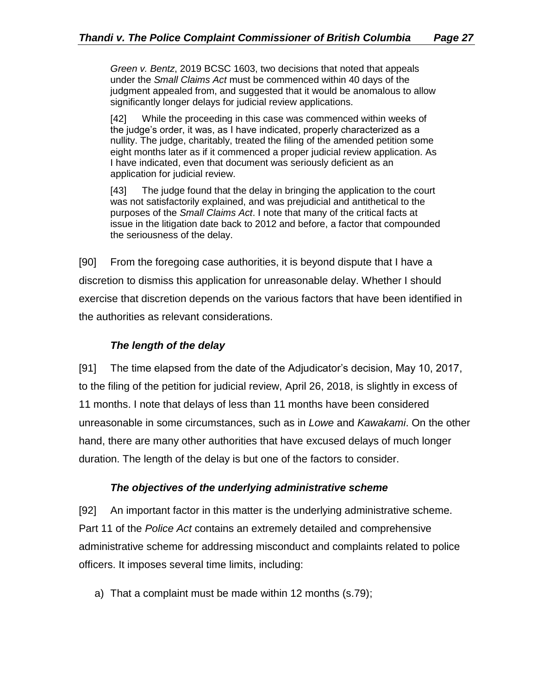*Green v. Bentz*, 2019 BCSC 1603, two decisions that noted that appeals under the *Small Claims Act* must be commenced within 40 days of the judgment appealed from, and suggested that it would be anomalous to allow significantly longer delays for judicial review applications.

[42] While the proceeding in this case was commenced within weeks of the judge's order, it was, as I have indicated, properly characterized as a nullity. The judge, charitably, treated the filing of the amended petition some eight months later as if it commenced a proper judicial review application. As I have indicated, even that document was seriously deficient as an application for judicial review.

[43] The judge found that the delay in bringing the application to the court was not satisfactorily explained, and was prejudicial and antithetical to the purposes of the *Small Claims Act*. I note that many of the critical facts at issue in the litigation date back to 2012 and before, a factor that compounded the seriousness of the delay.

[90] From the foregoing case authorities, it is beyond dispute that I have a discretion to dismiss this application for unreasonable delay. Whether I should exercise that discretion depends on the various factors that have been identified in the authorities as relevant considerations.

## *The length of the delay*

<span id="page-26-0"></span>[91] The time elapsed from the date of the Adjudicator's decision, May 10, 2017, to the filing of the petition for judicial review, April 26, 2018, is slightly in excess of 11 months. I note that delays of less than 11 months have been considered unreasonable in some circumstances, such as in *Lowe* and *Kawakami*. On the other hand, there are many other authorities that have excused delays of much longer duration. The length of the delay is but one of the factors to consider.

#### *The objectives of the underlying administrative scheme*

<span id="page-26-1"></span>[92] An important factor in this matter is the underlying administrative scheme. Part 11 of the *Police Act* contains an extremely detailed and comprehensive administrative scheme for addressing misconduct and complaints related to police officers. It imposes several time limits, including:

a) That a complaint must be made within 12 months (s.79);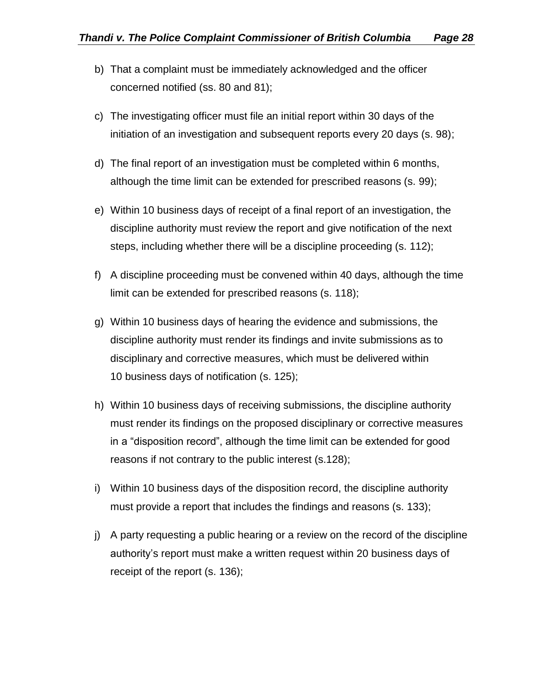- b) That a complaint must be immediately acknowledged and the officer concerned notified (ss. 80 and 81);
- c) The investigating officer must file an initial report within 30 days of the initiation of an investigation and subsequent reports every 20 days (s. 98);
- d) The final report of an investigation must be completed within 6 months, although the time limit can be extended for prescribed reasons (s. 99);
- e) Within 10 business days of receipt of a final report of an investigation, the discipline authority must review the report and give notification of the next steps, including whether there will be a discipline proceeding (s. 112);
- f) A discipline proceeding must be convened within 40 days, although the time limit can be extended for prescribed reasons (s. 118);
- g) Within 10 business days of hearing the evidence and submissions, the discipline authority must render its findings and invite submissions as to disciplinary and corrective measures, which must be delivered within 10 business days of notification (s. 125);
- h) Within 10 business days of receiving submissions, the discipline authority must render its findings on the proposed disciplinary or corrective measures in a "disposition record", although the time limit can be extended for good reasons if not contrary to the public interest (s.128);
- i) Within 10 business days of the disposition record, the discipline authority must provide a report that includes the findings and reasons (s. 133);
- j) A party requesting a public hearing or a review on the record of the discipline authority's report must make a written request within 20 business days of receipt of the report (s. 136);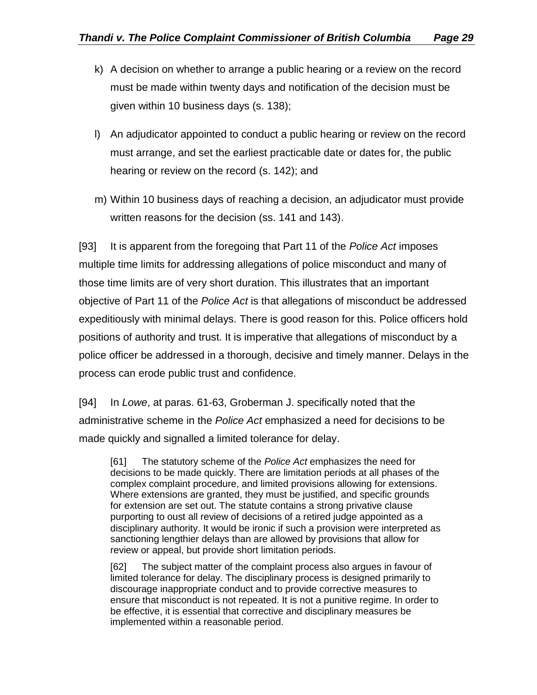- k) A decision on whether to arrange a public hearing or a review on the record must be made within twenty days and notification of the decision must be given within 10 business days (s. 138);
- l) An adjudicator appointed to conduct a public hearing or review on the record must arrange, and set the earliest practicable date or dates for, the public hearing or review on the record (s. 142); and
- m) Within 10 business days of reaching a decision, an adjudicator must provide written reasons for the decision (ss. 141 and 143).

[93] It is apparent from the foregoing that Part 11 of the *Police Act* imposes multiple time limits for addressing allegations of police misconduct and many of those time limits are of very short duration. This illustrates that an important objective of Part 11 of the *Police Act* is that allegations of misconduct be addressed expeditiously with minimal delays. There is good reason for this. Police officers hold positions of authority and trust. It is imperative that allegations of misconduct by a police officer be addressed in a thorough, decisive and timely manner. Delays in the process can erode public trust and confidence.

[94] In *Lowe*, at paras. 61-63, Groberman J. specifically noted that the administrative scheme in the *Police Act* emphasized a need for decisions to be made quickly and signalled a limited tolerance for delay.

[61] The statutory scheme of the *Police Act* emphasizes the need for decisions to be made quickly. There are limitation periods at all phases of the complex complaint procedure, and limited provisions allowing for extensions. Where extensions are granted, they must be justified, and specific grounds for extension are set out. The statute contains a strong privative clause purporting to oust all review of decisions of a retired judge appointed as a disciplinary authority. It would be ironic if such a provision were interpreted as sanctioning lengthier delays than are allowed by provisions that allow for review or appeal, but provide short limitation periods.

[62] The subject matter of the complaint process also argues in favour of limited tolerance for delay. The disciplinary process is designed primarily to discourage inappropriate conduct and to provide corrective measures to ensure that misconduct is not repeated. It is not a punitive regime. In order to be effective, it is essential that corrective and disciplinary measures be implemented within a reasonable period.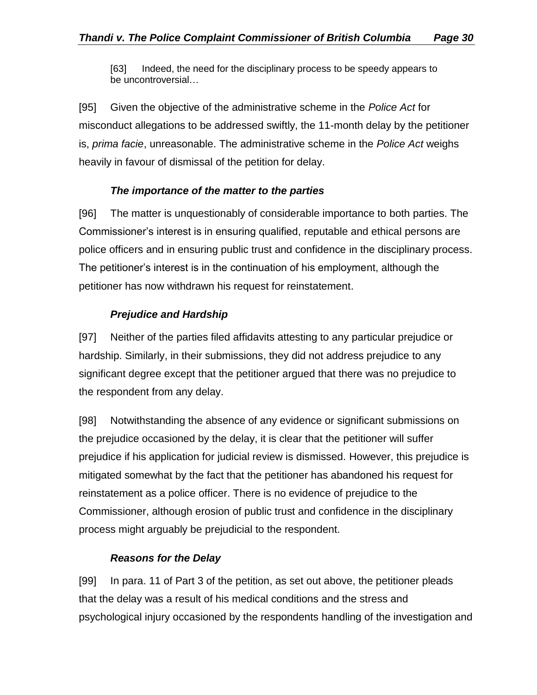[63] Indeed, the need for the disciplinary process to be speedy appears to be uncontroversial…

[95] Given the objective of the administrative scheme in the *Police Act* for misconduct allegations to be addressed swiftly, the 11-month delay by the petitioner is, *prima facie*, unreasonable. The administrative scheme in the *Police Act* weighs heavily in favour of dismissal of the petition for delay.

#### *The importance of the matter to the parties*

<span id="page-29-0"></span>[96] The matter is unquestionably of considerable importance to both parties. The Commissioner's interest is in ensuring qualified, reputable and ethical persons are police officers and in ensuring public trust and confidence in the disciplinary process. The petitioner's interest is in the continuation of his employment, although the petitioner has now withdrawn his request for reinstatement.

#### *Prejudice and Hardship*

<span id="page-29-1"></span>[97] Neither of the parties filed affidavits attesting to any particular prejudice or hardship. Similarly, in their submissions, they did not address prejudice to any significant degree except that the petitioner argued that there was no prejudice to the respondent from any delay.

[98] Notwithstanding the absence of any evidence or significant submissions on the prejudice occasioned by the delay, it is clear that the petitioner will suffer prejudice if his application for judicial review is dismissed. However, this prejudice is mitigated somewhat by the fact that the petitioner has abandoned his request for reinstatement as a police officer. There is no evidence of prejudice to the Commissioner, although erosion of public trust and confidence in the disciplinary process might arguably be prejudicial to the respondent.

#### *Reasons for the Delay*

<span id="page-29-2"></span>[99] In para. 11 of Part 3 of the petition, as set out above, the petitioner pleads that the delay was a result of his medical conditions and the stress and psychological injury occasioned by the respondents handling of the investigation and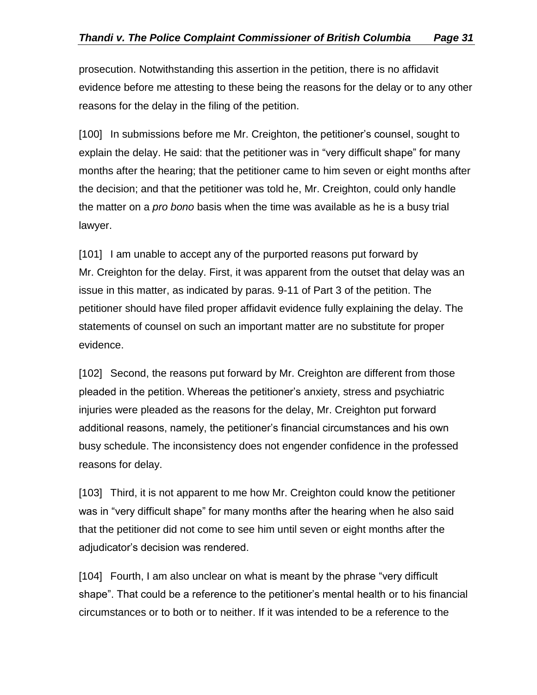prosecution. Notwithstanding this assertion in the petition, there is no affidavit evidence before me attesting to these being the reasons for the delay or to any other reasons for the delay in the filing of the petition.

[100] In submissions before me Mr. Creighton, the petitioner's counsel, sought to explain the delay. He said: that the petitioner was in "very difficult shape" for many months after the hearing; that the petitioner came to him seven or eight months after the decision; and that the petitioner was told he, Mr. Creighton, could only handle the matter on a *pro bono* basis when the time was available as he is a busy trial lawyer.

[101] I am unable to accept any of the purported reasons put forward by Mr. Creighton for the delay. First, it was apparent from the outset that delay was an issue in this matter, as indicated by paras. 9-11 of Part 3 of the petition. The petitioner should have filed proper affidavit evidence fully explaining the delay. The statements of counsel on such an important matter are no substitute for proper evidence.

[102] Second, the reasons put forward by Mr. Creighton are different from those pleaded in the petition. Whereas the petitioner's anxiety, stress and psychiatric injuries were pleaded as the reasons for the delay, Mr. Creighton put forward additional reasons, namely, the petitioner's financial circumstances and his own busy schedule. The inconsistency does not engender confidence in the professed reasons for delay.

[103] Third, it is not apparent to me how Mr. Creighton could know the petitioner was in "very difficult shape" for many months after the hearing when he also said that the petitioner did not come to see him until seven or eight months after the adjudicator's decision was rendered.

[104] Fourth, I am also unclear on what is meant by the phrase "very difficult shape". That could be a reference to the petitioner's mental health or to his financial circumstances or to both or to neither. If it was intended to be a reference to the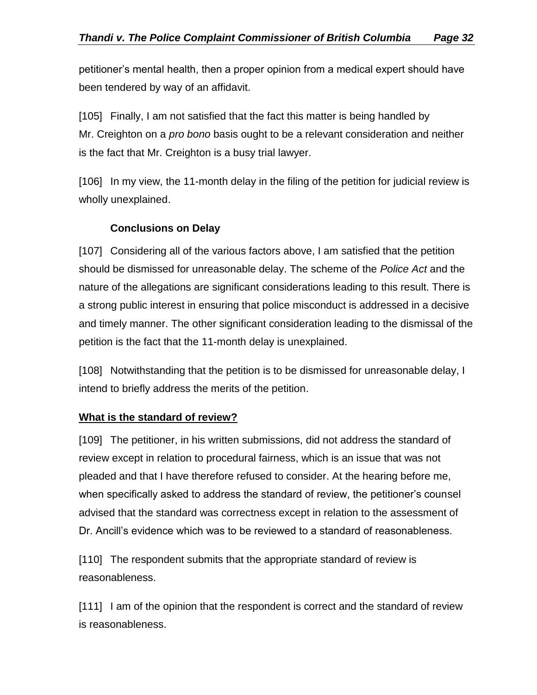petitioner's mental health, then a proper opinion from a medical expert should have been tendered by way of an affidavit.

[105] Finally, I am not satisfied that the fact this matter is being handled by Mr. Creighton on a *pro bono* basis ought to be a relevant consideration and neither is the fact that Mr. Creighton is a busy trial lawyer.

[106] In my view, the 11-month delay in the filing of the petition for judicial review is wholly unexplained.

## **Conclusions on Delay**

<span id="page-31-0"></span>[107] Considering all of the various factors above, I am satisfied that the petition should be dismissed for unreasonable delay. The scheme of the *Police Act* and the nature of the allegations are significant considerations leading to this result. There is a strong public interest in ensuring that police misconduct is addressed in a decisive and timely manner. The other significant consideration leading to the dismissal of the petition is the fact that the 11-month delay is unexplained.

[108] Notwithstanding that the petition is to be dismissed for unreasonable delay, I intend to briefly address the merits of the petition.

## <span id="page-31-1"></span>**What is the standard of review?**

[109] The petitioner, in his written submissions, did not address the standard of review except in relation to procedural fairness, which is an issue that was not pleaded and that I have therefore refused to consider. At the hearing before me, when specifically asked to address the standard of review, the petitioner's counsel advised that the standard was correctness except in relation to the assessment of Dr. Ancill's evidence which was to be reviewed to a standard of reasonableness.

[110] The respondent submits that the appropriate standard of review is reasonableness.

[111] I am of the opinion that the respondent is correct and the standard of review is reasonableness.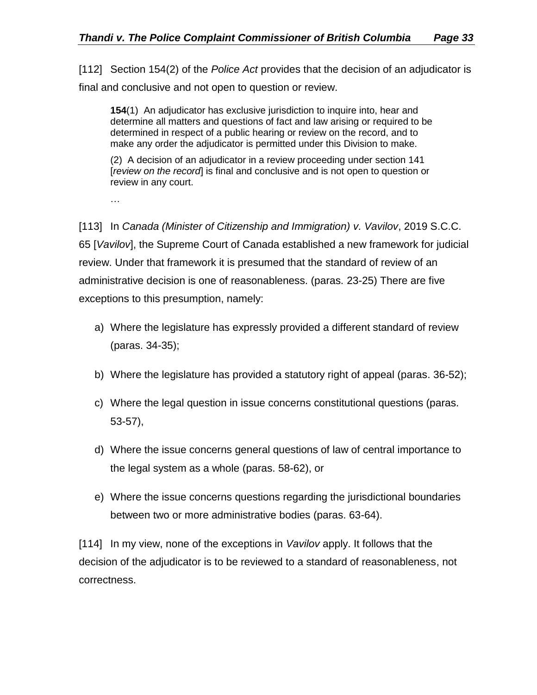[112] Section 154(2) of the *Police Act* provides that the decision of an adjudicator is final and conclusive and not open to question or review.

**154**(1) An adjudicator has exclusive jurisdiction to inquire into, hear and determine all matters and questions of fact and law arising or required to be determined in respect of a public hearing or review on the record, and to make any order the adjudicator is permitted under this Division to make.

(2) A decision of an adjudicator in a review proceeding under section 141 [*review on the record*] is final and conclusive and is not open to question or review in any court.

…

[113] In *Canada (Minister of Citizenship and Immigration) v. Vavilov*, 2019 S.C.C. 65 [*Vavilov*], the Supreme Court of Canada established a new framework for judicial review. Under that framework it is presumed that the standard of review of an administrative decision is one of reasonableness. (paras. 23-25) There are five exceptions to this presumption, namely:

- a) Where the legislature has expressly provided a different standard of review (paras. 34-35);
- b) Where the legislature has provided a statutory right of appeal (paras. 36-52);
- c) Where the legal question in issue concerns constitutional questions (paras. 53-57),
- d) Where the issue concerns general questions of law of central importance to the legal system as a whole (paras. 58-62), or
- e) Where the issue concerns questions regarding the jurisdictional boundaries between two or more administrative bodies (paras. 63-64).

[114] In my view, none of the exceptions in *Vavilov* apply. It follows that the decision of the adjudicator is to be reviewed to a standard of reasonableness, not correctness.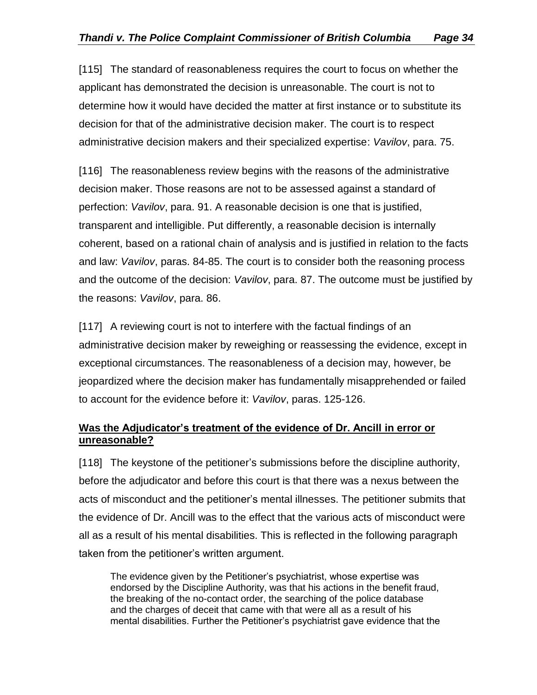[115] The standard of reasonableness requires the court to focus on whether the applicant has demonstrated the decision is unreasonable. The court is not to determine how it would have decided the matter at first instance or to substitute its decision for that of the administrative decision maker. The court is to respect administrative decision makers and their specialized expertise: *Vavilov*, para. 75.

[116] The reasonableness review begins with the reasons of the administrative decision maker. Those reasons are not to be assessed against a standard of perfection: *Vavilov*, para. 91. A reasonable decision is one that is justified, transparent and intelligible. Put differently, a reasonable decision is internally coherent, based on a rational chain of analysis and is justified in relation to the facts and law: *Vavilov*, paras. 84-85. The court is to consider both the reasoning process and the outcome of the decision: *Vavilov*, para. 87. The outcome must be justified by the reasons: *Vavilov*, para. 86.

[117] A reviewing court is not to interfere with the factual findings of an administrative decision maker by reweighing or reassessing the evidence, except in exceptional circumstances. The reasonableness of a decision may, however, be jeopardized where the decision maker has fundamentally misapprehended or failed to account for the evidence before it: *Vavilov*, paras. 125-126.

#### <span id="page-33-0"></span>**Was the Adjudicator's treatment of the evidence of Dr. Ancill in error or unreasonable?**

[118] The keystone of the petitioner's submissions before the discipline authority, before the adjudicator and before this court is that there was a nexus between the acts of misconduct and the petitioner's mental illnesses. The petitioner submits that the evidence of Dr. Ancill was to the effect that the various acts of misconduct were all as a result of his mental disabilities. This is reflected in the following paragraph taken from the petitioner's written argument.

The evidence given by the Petitioner's psychiatrist, whose expertise was endorsed by the Discipline Authority, was that his actions in the benefit fraud, the breaking of the no-contact order, the searching of the police database and the charges of deceit that came with that were all as a result of his mental disabilities. Further the Petitioner's psychiatrist gave evidence that the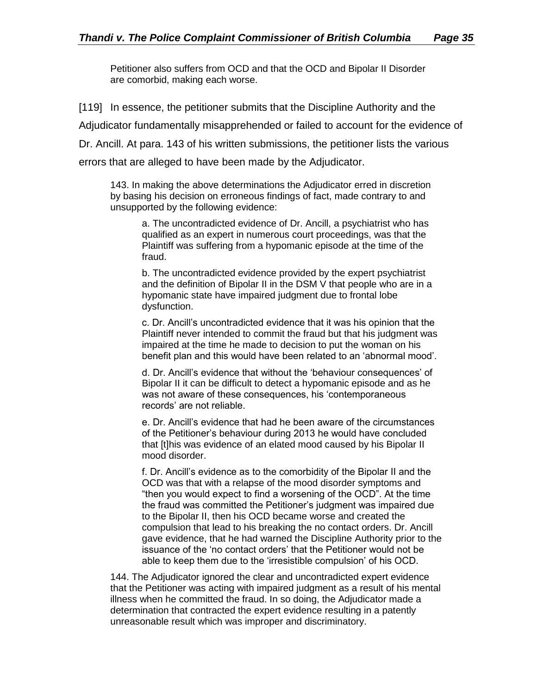Petitioner also suffers from OCD and that the OCD and Bipolar II Disorder are comorbid, making each worse.

[119] In essence, the petitioner submits that the Discipline Authority and the Adjudicator fundamentally misapprehended or failed to account for the evidence of Dr. Ancill. At para. 143 of his written submissions, the petitioner lists the various errors that are alleged to have been made by the Adjudicator.

143. In making the above determinations the Adjudicator erred in discretion by basing his decision on erroneous findings of fact, made contrary to and unsupported by the following evidence:

a. The uncontradicted evidence of Dr. Ancill, a psychiatrist who has qualified as an expert in numerous court proceedings, was that the Plaintiff was suffering from a hypomanic episode at the time of the fraud.

b. The uncontradicted evidence provided by the expert psychiatrist and the definition of Bipolar II in the DSM V that people who are in a hypomanic state have impaired judgment due to frontal lobe dysfunction.

c. Dr. Ancill's uncontradicted evidence that it was his opinion that the Plaintiff never intended to commit the fraud but that his judgment was impaired at the time he made to decision to put the woman on his benefit plan and this would have been related to an 'abnormal mood'.

d. Dr. Ancill's evidence that without the 'behaviour consequences' of Bipolar II it can be difficult to detect a hypomanic episode and as he was not aware of these consequences, his 'contemporaneous records' are not reliable.

e. Dr. Ancill's evidence that had he been aware of the circumstances of the Petitioner's behaviour during 2013 he would have concluded that [t]his was evidence of an elated mood caused by his Bipolar II mood disorder.

f. Dr. Ancill's evidence as to the comorbidity of the Bipolar II and the OCD was that with a relapse of the mood disorder symptoms and "then you would expect to find a worsening of the OCD". At the time the fraud was committed the Petitioner's judgment was impaired due to the Bipolar II, then his OCD became worse and created the compulsion that lead to his breaking the no contact orders. Dr. Ancill gave evidence, that he had warned the Discipline Authority prior to the issuance of the 'no contact orders' that the Petitioner would not be able to keep them due to the 'irresistible compulsion' of his OCD.

144. The Adjudicator ignored the clear and uncontradicted expert evidence that the Petitioner was acting with impaired judgment as a result of his mental illness when he committed the fraud. In so doing, the Adjudicator made a determination that contracted the expert evidence resulting in a patently unreasonable result which was improper and discriminatory.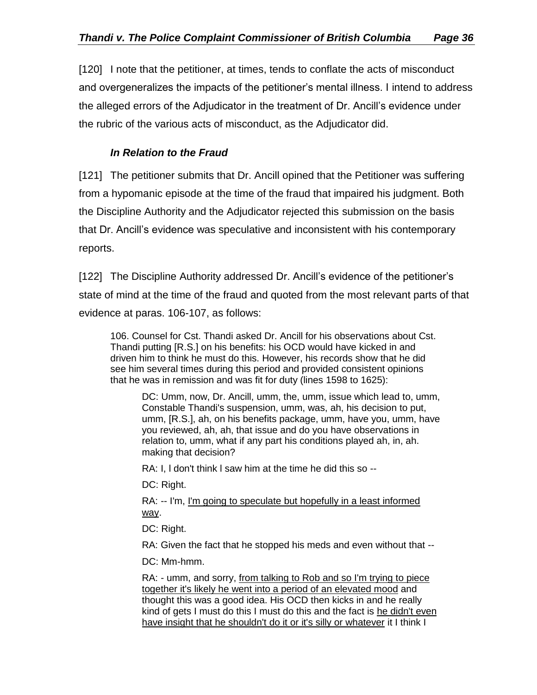[120] I note that the petitioner, at times, tends to conflate the acts of misconduct and overgeneralizes the impacts of the petitioner's mental illness. I intend to address the alleged errors of the Adjudicator in the treatment of Dr. Ancill's evidence under the rubric of the various acts of misconduct, as the Adjudicator did.

## *In Relation to the Fraud*

<span id="page-35-0"></span>[121] The petitioner submits that Dr. Ancill opined that the Petitioner was suffering from a hypomanic episode at the time of the fraud that impaired his judgment. Both the Discipline Authority and the Adjudicator rejected this submission on the basis that Dr. Ancill's evidence was speculative and inconsistent with his contemporary reports.

[122] The Discipline Authority addressed Dr. Ancill's evidence of the petitioner's state of mind at the time of the fraud and quoted from the most relevant parts of that evidence at paras. 106-107, as follows:

106. Counsel for Cst. Thandi asked Dr. Ancill for his observations about Cst. Thandi putting [R.S.] on his benefits: his OCD would have kicked in and driven him to think he must do this. However, his records show that he did see him several times during this period and provided consistent opinions that he was in remission and was fit for duty (lines 1598 to 1625):

DC: Umm, now, Dr. Ancill, umm, the, umm, issue which lead to, umm, Constable Thandi's suspension, umm, was, ah, his decision to put, umm, [R.S.], ah, on his benefits package, umm, have you, umm, have you reviewed, ah, ah, that issue and do you have observations in relation to, umm, what if any part his conditions played ah, in, ah. making that decision?

RA: I, l don't think l saw him at the time he did this so --

DC: Right.

RA: -- I'm, I'm going to speculate but hopefully in a least informed way.

DC: Right.

RA: Given the fact that he stopped his meds and even without that --

DC: Mm-hmm.

RA: - umm, and sorry, from talking to Rob and so I'm trying to piece together it's likely he went into a period of an elevated mood and thought this was a good idea. His OCD then kicks in and he really kind of gets I must do this I must do this and the fact is he didn't even have insight that he shouldn't do it or it's silly or whatever it I think I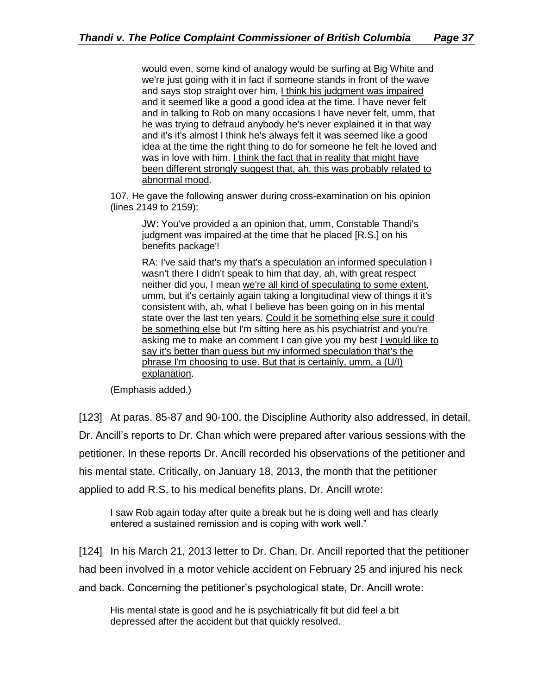would even, some kind of analogy would be surfing at Big White and we're just going with it in fact if someone stands in front of the wave and says stop straight over him, I think his judgment was impaired and it seemed like a good a good idea at the time. l have never felt and in talking to Rob on many occasions I have never felt, umm, that he was trying to defraud anybody he's never explained it in that way and it's it's almost I think he's always felt it was seemed like a good idea at the time the right thing to do for someone he felt he loved and was in love with him. I think the fact that in reality that might have been different strongly suggest that, ah, this was probably related to abnormal mood.

107. He gave the following answer during cross-examination on his opinion (lines 2149 to 2159):

JW: You've provided a an opinion that, umm, Constable Thandi's judgment was impaired at the time that he placed [R.S.] on his benefits package'!

RA: I've said that's my that's a speculation an informed speculation I wasn't there I didn't speak to him that day, ah, with great respect neither did you, I mean we're all kind of speculating to some extent, umm, but it's certainly again taking a longitudinal view of things it it's consistent with, ah, what I believe has been going on in his mental state over the last ten years. Could it be something else sure it could be something else but I'm sitting here as his psychiatrist and you're asking me to make an comment I can give you my best I would like to say it's better than guess but my informed speculation that's the phrase I'm choosing to use. But that is certainly, umm, a (U/I) explanation.

(Emphasis added.)

[123] At paras. 85-87 and 90-100, the Discipline Authority also addressed, in detail, Dr. Ancill's reports to Dr. Chan which were prepared after various sessions with the petitioner. In these reports Dr. Ancill recorded his observations of the petitioner and his mental state. Critically, on January 18, 2013, the month that the petitioner applied to add R.S. to his medical benefits plans, Dr. Ancill wrote:

I saw Rob again today after quite a break but he is doing well and has clearly entered a sustained remission and is coping with work well."

[124] In his March 21, 2013 letter to Dr. Chan, Dr. Ancill reported that the petitioner had been involved in a motor vehicle accident on February 25 and injured his neck and back. Concerning the petitioner's psychological state, Dr. Ancill wrote:

His mental state is good and he is psychiatrically fit but did feel a bit depressed after the accident but that quickly resolved.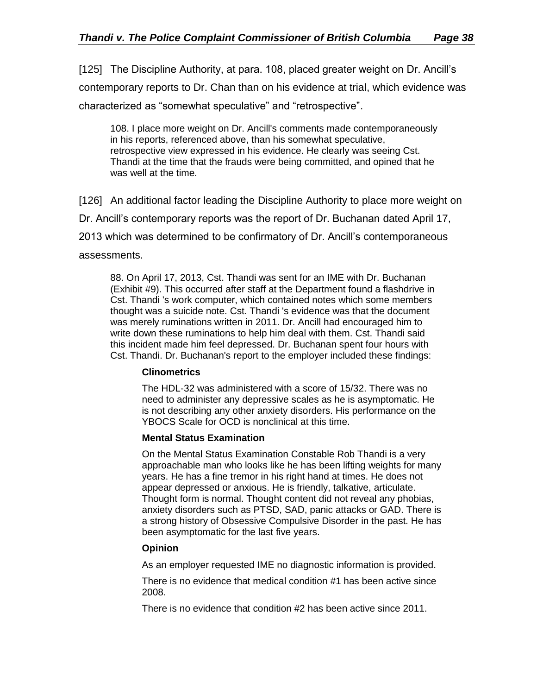[125] The Discipline Authority, at para. 108, placed greater weight on Dr. Ancill's contemporary reports to Dr. Chan than on his evidence at trial, which evidence was characterized as "somewhat speculative" and "retrospective".

108. I place more weight on Dr. Ancill's comments made contemporaneously in his reports, referenced above, than his somewhat speculative, retrospective view expressed in his evidence. He clearly was seeing Cst. Thandi at the time that the frauds were being committed, and opined that he was well at the time.

[126] An additional factor leading the Discipline Authority to place more weight on Dr. Ancill's contemporary reports was the report of Dr. Buchanan dated April 17, 2013 which was determined to be confirmatory of Dr. Ancill's contemporaneous assessments.

88. On April 17, 2013, Cst. Thandi was sent for an IME with Dr. Buchanan (Exhibit #9). This occurred after staff at the Department found a flashdrive in Cst. Thandi 's work computer, which contained notes which some members thought was a suicide note. Cst. Thandi 's evidence was that the document was merely ruminations written in 2011. Dr. Ancill had encouraged him to write down these ruminations to help him deal with them. Cst. Thandi said this incident made him feel depressed. Dr. Buchanan spent four hours with Cst. Thandi. Dr. Buchanan's report to the employer included these findings:

#### **Clinometrics**

The HDL-32 was administered with a score of 15/32. There was no need to administer any depressive scales as he is asymptomatic. He is not describing any other anxiety disorders. His performance on the YBOCS Scale for OCD is nonclinical at this time.

#### **Mental Status Examination**

On the Mental Status Examination Constable Rob Thandi is a very approachable man who looks like he has been lifting weights for many years. He has a fine tremor in his right hand at times. He does not appear depressed or anxious. He is friendly, talkative, articulate. Thought form is normal. Thought content did not reveal any phobias, anxiety disorders such as PTSD, SAD, panic attacks or GAD. There is a strong history of Obsessive Compulsive Disorder in the past. He has been asymptomatic for the last five years.

#### **Opinion**

As an employer requested IME no diagnostic information is provided.

There is no evidence that medical condition #1 has been active since 2008.

There is no evidence that condition #2 has been active since 2011.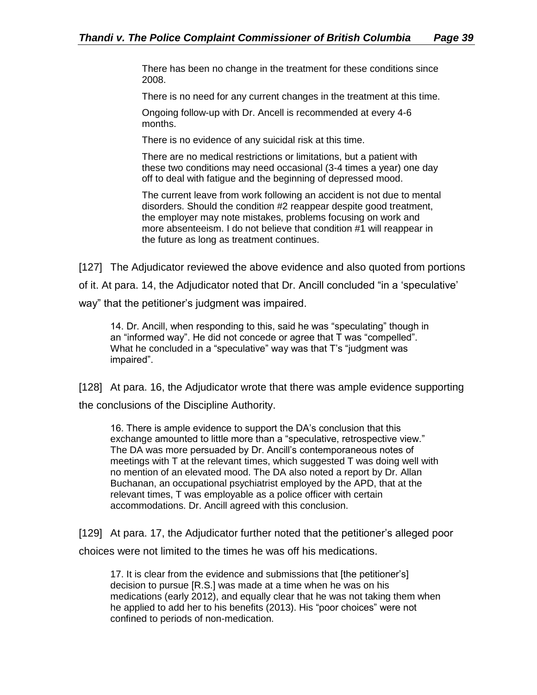There has been no change in the treatment for these conditions since 2008.

There is no need for any current changes in the treatment at this time.

Ongoing follow-up with Dr. Ancell is recommended at every 4-6 months.

There is no evidence of any suicidal risk at this time.

There are no medical restrictions or limitations, but a patient with these two conditions may need occasional (3-4 times a year) one day off to deal with fatigue and the beginning of depressed mood.

The current leave from work following an accident is not due to mental disorders. Should the condition #2 reappear despite good treatment, the employer may note mistakes, problems focusing on work and more absenteeism. I do not believe that condition #1 will reappear in the future as long as treatment continues.

[127] The Adjudicator reviewed the above evidence and also quoted from portions

of it. At para. 14, the Adjudicator noted that Dr. Ancill concluded "in a 'speculative'

way" that the petitioner's judgment was impaired.

14. Dr. Ancill, when responding to this, said he was "speculating" though in an "informed way". He did not concede or agree that T was "compelled". What he concluded in a "speculative" way was that T's "judgment was impaired".

[128] At para. 16, the Adjudicator wrote that there was ample evidence supporting the conclusions of the Discipline Authority.

16. There is ample evidence to support the DA's conclusion that this exchange amounted to little more than a "speculative, retrospective view." The DA was more persuaded by Dr. Ancill's contemporaneous notes of meetings with T at the relevant times, which suggested T was doing well with no mention of an elevated mood. The DA also noted a report by Dr. Allan Buchanan, an occupational psychiatrist employed by the APD, that at the relevant times, T was employable as a police officer with certain accommodations. Dr. Ancill agreed with this conclusion.

[129] At para. 17, the Adjudicator further noted that the petitioner's alleged poor choices were not limited to the times he was off his medications.

17. It is clear from the evidence and submissions that [the petitioner's] decision to pursue [R.S.] was made at a time when he was on his medications (early 2012), and equally clear that he was not taking them when he applied to add her to his benefits (2013). His "poor choices" were not confined to periods of non-medication.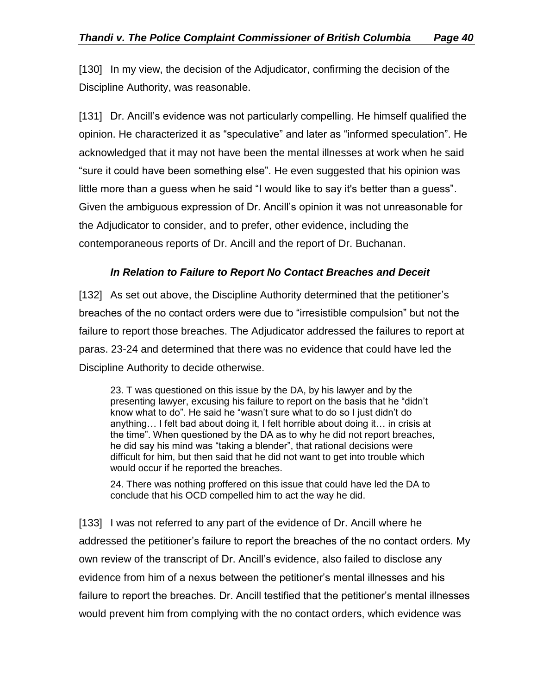[130] In my view, the decision of the Adjudicator, confirming the decision of the Discipline Authority, was reasonable.

[131] Dr. Ancill's evidence was not particularly compelling. He himself qualified the opinion. He characterized it as "speculative" and later as "informed speculation". He acknowledged that it may not have been the mental illnesses at work when he said "sure it could have been something else". He even suggested that his opinion was little more than a guess when he said "I would like to say it's better than a guess". Given the ambiguous expression of Dr. Ancill's opinion it was not unreasonable for the Adjudicator to consider, and to prefer, other evidence, including the contemporaneous reports of Dr. Ancill and the report of Dr. Buchanan.

## *In Relation to Failure to Report No Contact Breaches and Deceit*

<span id="page-39-0"></span>[132] As set out above, the Discipline Authority determined that the petitioner's breaches of the no contact orders were due to "irresistible compulsion" but not the failure to report those breaches. The Adjudicator addressed the failures to report at paras. 23-24 and determined that there was no evidence that could have led the Discipline Authority to decide otherwise.

23. T was questioned on this issue by the DA, by his lawyer and by the presenting lawyer, excusing his failure to report on the basis that he "didn't know what to do". He said he "wasn't sure what to do so I just didn't do anything… I felt bad about doing it, I felt horrible about doing it… in crisis at the time". When questioned by the DA as to why he did not report breaches, he did say his mind was "taking a blender", that rational decisions were difficult for him, but then said that he did not want to get into trouble which would occur if he reported the breaches.

24. There was nothing proffered on this issue that could have led the DA to conclude that his OCD compelled him to act the way he did.

[133] I was not referred to any part of the evidence of Dr. Ancill where he addressed the petitioner's failure to report the breaches of the no contact orders. My own review of the transcript of Dr. Ancill's evidence, also failed to disclose any evidence from him of a nexus between the petitioner's mental illnesses and his failure to report the breaches. Dr. Ancill testified that the petitioner's mental illnesses would prevent him from complying with the no contact orders, which evidence was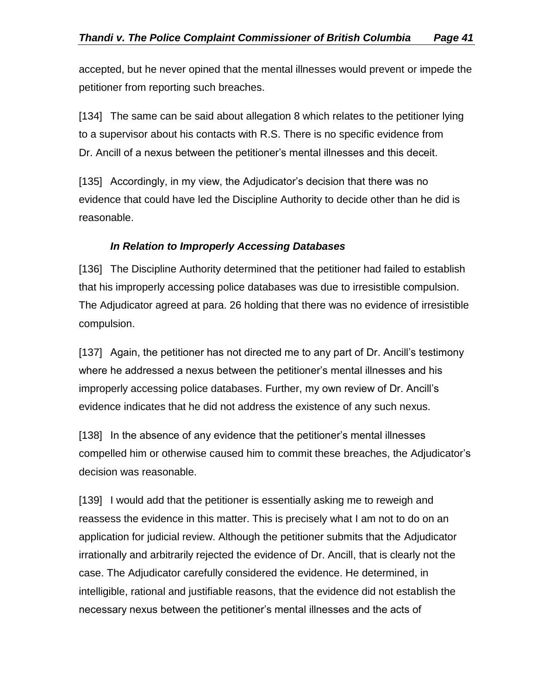accepted, but he never opined that the mental illnesses would prevent or impede the petitioner from reporting such breaches.

[134] The same can be said about allegation 8 which relates to the petitioner lying to a supervisor about his contacts with R.S. There is no specific evidence from Dr. Ancill of a nexus between the petitioner's mental illnesses and this deceit.

[135] Accordingly, in my view, the Adjudicator's decision that there was no evidence that could have led the Discipline Authority to decide other than he did is reasonable.

#### *In Relation to Improperly Accessing Databases*

<span id="page-40-0"></span>[136] The Discipline Authority determined that the petitioner had failed to establish that his improperly accessing police databases was due to irresistible compulsion. The Adjudicator agreed at para. 26 holding that there was no evidence of irresistible compulsion.

[137] Again, the petitioner has not directed me to any part of Dr. Ancill's testimony where he addressed a nexus between the petitioner's mental illnesses and his improperly accessing police databases. Further, my own review of Dr. Ancill's evidence indicates that he did not address the existence of any such nexus.

[138] In the absence of any evidence that the petitioner's mental illnesses compelled him or otherwise caused him to commit these breaches, the Adjudicator's decision was reasonable.

[139] I would add that the petitioner is essentially asking me to reweigh and reassess the evidence in this matter. This is precisely what I am not to do on an application for judicial review. Although the petitioner submits that the Adjudicator irrationally and arbitrarily rejected the evidence of Dr. Ancill, that is clearly not the case. The Adjudicator carefully considered the evidence. He determined, in intelligible, rational and justifiable reasons, that the evidence did not establish the necessary nexus between the petitioner's mental illnesses and the acts of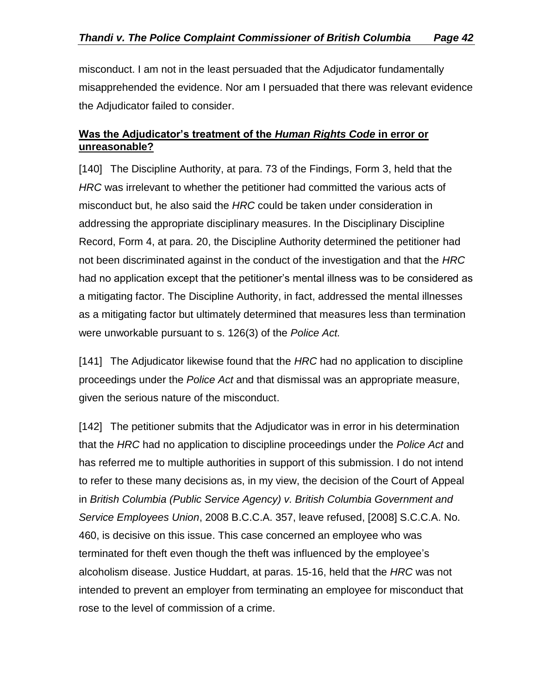misconduct. I am not in the least persuaded that the Adjudicator fundamentally misapprehended the evidence. Nor am I persuaded that there was relevant evidence the Adjudicator failed to consider.

## <span id="page-41-0"></span>**Was the Adjudicator's treatment of the** *Human Rights Code* **in error or unreasonable?**

[140] The Discipline Authority, at para. 73 of the Findings, Form 3, held that the *HRC* was irrelevant to whether the petitioner had committed the various acts of misconduct but, he also said the *HRC* could be taken under consideration in addressing the appropriate disciplinary measures. In the Disciplinary Discipline Record, Form 4, at para. 20, the Discipline Authority determined the petitioner had not been discriminated against in the conduct of the investigation and that the *HRC* had no application except that the petitioner's mental illness was to be considered as a mitigating factor. The Discipline Authority, in fact, addressed the mental illnesses as a mitigating factor but ultimately determined that measures less than termination were unworkable pursuant to s. 126(3) of the *Police Act.*

[141] The Adjudicator likewise found that the *HRC* had no application to discipline proceedings under the *Police Act* and that dismissal was an appropriate measure, given the serious nature of the misconduct.

[142] The petitioner submits that the Adjudicator was in error in his determination that the *HRC* had no application to discipline proceedings under the *Police Act* and has referred me to multiple authorities in support of this submission. I do not intend to refer to these many decisions as, in my view, the decision of the Court of Appeal in *British Columbia (Public Service Agency) v. British Columbia Government and Service Employees Union*, 2008 B.C.C.A. 357, leave refused, [2008] S.C.C.A. No. 460, is decisive on this issue. This case concerned an employee who was terminated for theft even though the theft was influenced by the employee's alcoholism disease. Justice Huddart, at paras. 15-16, held that the *HRC* was not intended to prevent an employer from terminating an employee for misconduct that rose to the level of commission of a crime.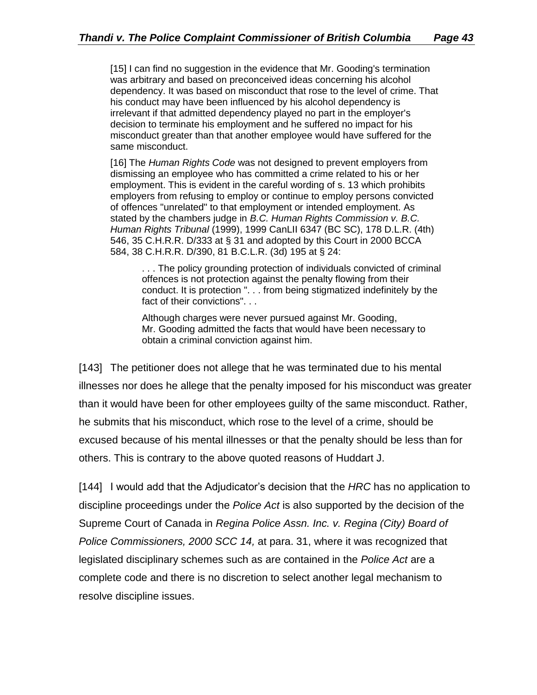[15] I can find no suggestion in the evidence that Mr. Gooding's termination was arbitrary and based on preconceived ideas concerning his alcohol dependency. It was based on misconduct that rose to the level of crime. That his conduct may have been influenced by his alcohol dependency is irrelevant if that admitted dependency played no part in the employer's decision to terminate his employment and he suffered no impact for his misconduct greater than that another employee would have suffered for the same misconduct.

[16] The *Human Rights Code* was not designed to prevent employers from dismissing an employee who has committed a crime related to his or her employment. This is evident in the careful wording of s. 13 which prohibits employers from refusing to employ or continue to employ persons convicted of offences "unrelated" to that employment or intended employment. As stated by the chambers judge in *B.C. Human Rights Commission v. B.C. Human Rights Tribunal* (1999), 1999 CanLII 6347 (BC SC), 178 D.L.R. (4th) 546, 35 C.H.R.R. D/333 at § 31 and adopted by this Court in 2000 BCCA 584, 38 C.H.R.R. D/390, 81 B.C.L.R. (3d) 195 at § 24:

. . . The policy grounding protection of individuals convicted of criminal offences is not protection against the penalty flowing from their conduct. It is protection ". . . from being stigmatized indefinitely by the fact of their convictions". . .

Although charges were never pursued against Mr. Gooding, Mr. Gooding admitted the facts that would have been necessary to obtain a criminal conviction against him.

[143] The petitioner does not allege that he was terminated due to his mental illnesses nor does he allege that the penalty imposed for his misconduct was greater than it would have been for other employees guilty of the same misconduct. Rather, he submits that his misconduct, which rose to the level of a crime, should be excused because of his mental illnesses or that the penalty should be less than for others. This is contrary to the above quoted reasons of Huddart J.

[144] I would add that the Adjudicator's decision that the *HRC* has no application to discipline proceedings under the *Police Act* is also supported by the decision of the Supreme Court of Canada in *Regina Police Assn. Inc. v. Regina (City) Board of Police Commissioners, 2000 SCC 14,* at para. 31, where it was recognized that legislated disciplinary schemes such as are contained in the *Police Act* are a complete code and there is no discretion to select another legal mechanism to resolve discipline issues.